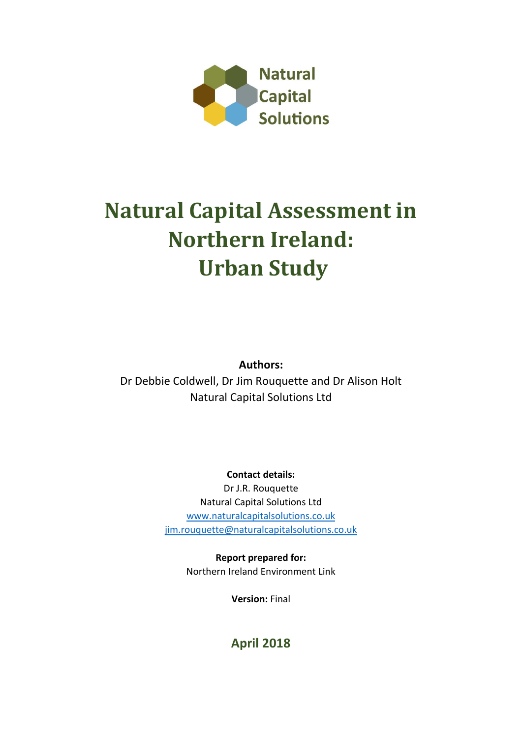

# **Natural Capital Assessment in Northern Ireland: Urban Study**

**Authors:**

Dr Debbie Coldwell, Dr Jim Rouquette and Dr Alison Holt Natural Capital Solutions Ltd

**Contact details:**

Dr J.R. Rouquette Natural Capital Solutions Ltd [www.naturalcapitalsolutions.co.uk](http://www.naturalcapitalsolutions.co.uk/) [jim.rouquette@naturalcapitalsolutions.co.uk](mailto:jim.rouquette@naturalcapitalsolutions.co.uk)

> **Report prepared for:** Northern Ireland Environment Link

> > **Version:** Final

# **April 2018**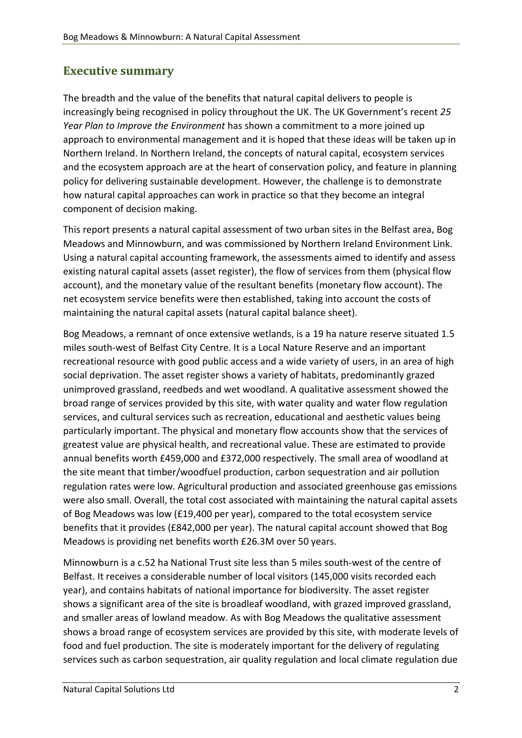# <span id="page-1-0"></span>**Executive summary**

The breadth and the value of the benefits that natural capital delivers to people is increasingly being recognised in policy throughout the UK. The UK Government's recent *25 Year Plan to Improve the Environment* has shown a commitment to a more joined up approach to environmental management and it is hoped that these ideas will be taken up in Northern Ireland. In Northern Ireland, the concepts of natural capital, ecosystem services and the ecosystem approach are at the heart of conservation policy, and feature in planning policy for delivering sustainable development. However, the challenge is to demonstrate how natural capital approaches can work in practice so that they become an integral component of decision making.

This report presents a natural capital assessment of two urban sites in the Belfast area, Bog Meadows and Minnowburn, and was commissioned by Northern Ireland Environment Link. Using a natural capital accounting framework, the assessments aimed to identify and assess existing natural capital assets (asset register), the flow of services from them (physical flow account), and the monetary value of the resultant benefits (monetary flow account). The net ecosystem service benefits were then established, taking into account the costs of maintaining the natural capital assets (natural capital balance sheet).

Bog Meadows, a remnant of once extensive wetlands, is a 19 ha nature reserve situated 1.5 miles south-west of Belfast City Centre. It is a Local Nature Reserve and an important recreational resource with good public access and a wide variety of users, in an area of high social deprivation. The asset register shows a variety of habitats, predominantly grazed unimproved grassland, reedbeds and wet woodland. A qualitative assessment showed the broad range of services provided by this site, with water quality and water flow regulation services, and cultural services such as recreation, educational and aesthetic values being particularly important. The physical and monetary flow accounts show that the services of greatest value are physical health, and recreational value. These are estimated to provide annual benefits worth £459,000 and £372,000 respectively. The small area of woodland at the site meant that timber/woodfuel production, carbon sequestration and air pollution regulation rates were low. Agricultural production and associated greenhouse gas emissions were also small. Overall, the total cost associated with maintaining the natural capital assets of Bog Meadows was low (£19,400 per year), compared to the total ecosystem service benefits that it provides (£842,000 per year). The natural capital account showed that Bog Meadows is providing net benefits worth £26.3M over 50 years.

Minnowburn is a c.52 ha National Trust site less than 5 miles south-west of the centre of Belfast. It receives a considerable number of local visitors (145,000 visits recorded each year), and contains habitats of national importance for biodiversity. The asset register shows a significant area of the site is broadleaf woodland, with grazed improved grassland, and smaller areas of lowland meadow. As with Bog Meadows the qualitative assessment shows a broad range of ecosystem services are provided by this site, with moderate levels of food and fuel production. The site is moderately important for the delivery of regulating services such as carbon sequestration, air quality regulation and local climate regulation due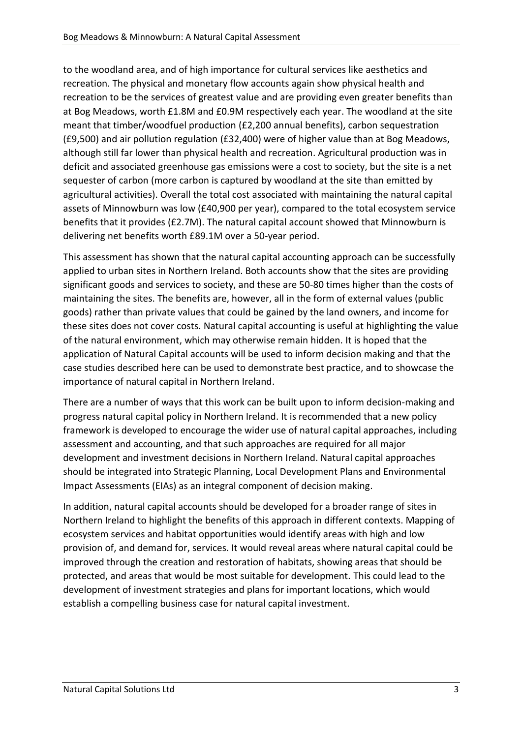to the woodland area, and of high importance for cultural services like aesthetics and recreation. The physical and monetary flow accounts again show physical health and recreation to be the services of greatest value and are providing even greater benefits than at Bog Meadows, worth £1.8M and £0.9M respectively each year. The woodland at the site meant that timber/woodfuel production (£2,200 annual benefits), carbon sequestration (£9,500) and air pollution regulation (£32,400) were of higher value than at Bog Meadows, although still far lower than physical health and recreation. Agricultural production was in deficit and associated greenhouse gas emissions were a cost to society, but the site is a net sequester of carbon (more carbon is captured by woodland at the site than emitted by agricultural activities). Overall the total cost associated with maintaining the natural capital assets of Minnowburn was low (£40,900 per year), compared to the total ecosystem service benefits that it provides (£2.7M). The natural capital account showed that Minnowburn is delivering net benefits worth £89.1M over a 50-year period.

This assessment has shown that the natural capital accounting approach can be successfully applied to urban sites in Northern Ireland. Both accounts show that the sites are providing significant goods and services to society, and these are 50-80 times higher than the costs of maintaining the sites. The benefits are, however, all in the form of external values (public goods) rather than private values that could be gained by the land owners, and income for these sites does not cover costs. Natural capital accounting is useful at highlighting the value of the natural environment, which may otherwise remain hidden. It is hoped that the application of Natural Capital accounts will be used to inform decision making and that the case studies described here can be used to demonstrate best practice, and to showcase the importance of natural capital in Northern Ireland.

There are a number of ways that this work can be built upon to inform decision-making and progress natural capital policy in Northern Ireland. It is recommended that a new policy framework is developed to encourage the wider use of natural capital approaches, including assessment and accounting, and that such approaches are required for all major development and investment decisions in Northern Ireland. Natural capital approaches should be integrated into Strategic Planning, Local Development Plans and Environmental Impact Assessments (EIAs) as an integral component of decision making.

<span id="page-2-0"></span>In addition, natural capital accounts should be developed for a broader range of sites in Northern Ireland to highlight the benefits of this approach in different contexts. Mapping of ecosystem services and habitat opportunities would identify areas with high and low provision of, and demand for, services. It would reveal areas where natural capital could be improved through the creation and restoration of habitats, showing areas that should be protected, and areas that would be most suitable for development. This could lead to the development of investment strategies and plans for important locations, which would establish a compelling business case for natural capital investment.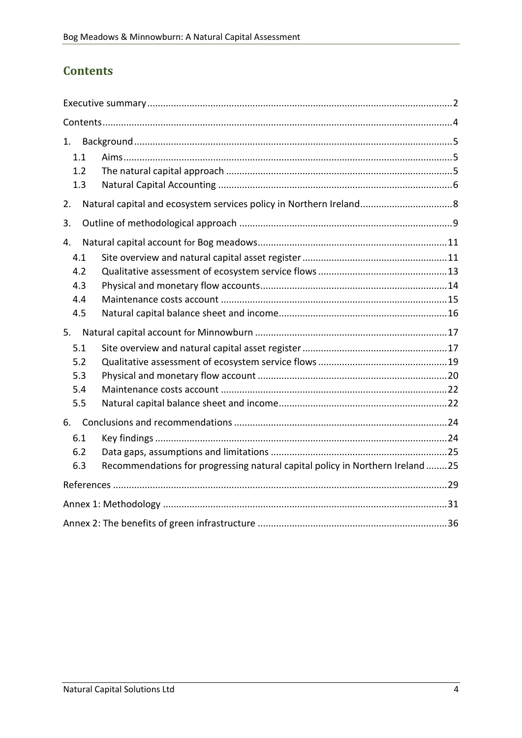# **Contents**

| 1.  |                                                                               |
|-----|-------------------------------------------------------------------------------|
| 1.1 |                                                                               |
| 1.2 |                                                                               |
| 1.3 |                                                                               |
| 2.  |                                                                               |
| 3.  |                                                                               |
| 4.  |                                                                               |
| 4.1 |                                                                               |
| 4.2 |                                                                               |
| 4.3 |                                                                               |
| 4.4 |                                                                               |
| 4.5 |                                                                               |
| 5.  |                                                                               |
| 5.1 |                                                                               |
| 5.2 |                                                                               |
| 5.3 |                                                                               |
| 5.4 |                                                                               |
| 5.5 |                                                                               |
| 6.  |                                                                               |
| 6.1 |                                                                               |
| 6.2 |                                                                               |
| 6.3 | Recommendations for progressing natural capital policy in Northern Ireland 25 |
|     |                                                                               |
|     |                                                                               |
|     |                                                                               |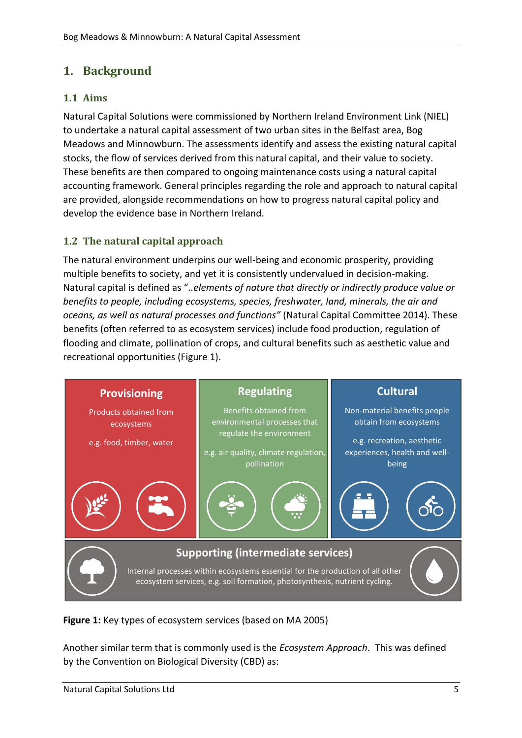# <span id="page-4-0"></span>**1. Background**

## <span id="page-4-1"></span>**1.1 Aims**

Natural Capital Solutions were commissioned by Northern Ireland Environment Link (NIEL) to undertake a natural capital assessment of two urban sites in the Belfast area, Bog Meadows and Minnowburn. The assessments identify and assess the existing natural capital stocks, the flow of services derived from this natural capital, and their value to society. These benefits are then compared to ongoing maintenance costs using a natural capital accounting framework. General principles regarding the role and approach to natural capital are provided, alongside recommendations on how to progress natural capital policy and develop the evidence base in Northern Ireland.

## <span id="page-4-2"></span>**1.2 The natural capital approach**

The natural environment underpins our well-being and economic prosperity, providing multiple benefits to society, and yet it is consistently undervalued in decision-making. Natural capital is defined as "*..elements of nature that directly or indirectly produce value or benefits to people, including ecosystems, species, freshwater, land, minerals, the air and oceans, as well as natural processes and functions"* (Natural Capital Committee 2014). These benefits (often referred to as ecosystem services) include food production, regulation of flooding and climate, pollination of crops, and cultural benefits such as aesthetic value and recreational opportunities (Figure 1).



**Figure 1:** Key types of ecosystem services (based on MA 2005)

Another similar term that is commonly used is the *Ecosystem Approach*.This was defined by the Convention on Biological Diversity (CBD) as: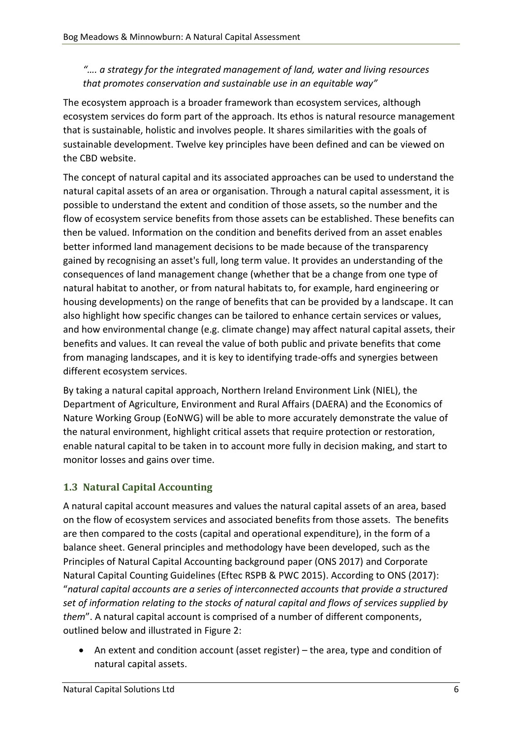#### *"…. a strategy for the integrated management of land, water and living resources that promotes conservation and sustainable use in an equitable way"*

The ecosystem approach is a broader framework than ecosystem services, although ecosystem services do form part of the approach. Its ethos is natural resource management that is sustainable, holistic and involves people. It shares similarities with the goals of sustainable development. Twelve key principles have been defined and can be viewed on the CBD website.

The concept of natural capital and its associated approaches can be used to understand the natural capital assets of an area or organisation. Through a natural capital assessment, it is possible to understand the extent and condition of those assets, so the number and the flow of ecosystem service benefits from those assets can be established. These benefits can then be valued. Information on the condition and benefits derived from an asset enables better informed land management decisions to be made because of the transparency gained by recognising an asset's full, long term value. It provides an understanding of the consequences of land management change (whether that be a change from one type of natural habitat to another, or from natural habitats to, for example, hard engineering or housing developments) on the range of benefits that can be provided by a landscape. It can also highlight how specific changes can be tailored to enhance certain services or values, and how environmental change (e.g. climate change) may affect natural capital assets, their benefits and values. It can reveal the value of both public and private benefits that come from managing landscapes, and it is key to identifying trade-offs and synergies between different ecosystem services.

By taking a natural capital approach, Northern Ireland Environment Link (NIEL), the Department of Agriculture, Environment and Rural Affairs (DAERA) and the Economics of Nature Working Group (EoNWG) will be able to more accurately demonstrate the value of the natural environment, highlight critical assets that require protection or restoration, enable natural capital to be taken in to account more fully in decision making, and start to monitor losses and gains over time.

## <span id="page-5-0"></span>**1.3 Natural Capital Accounting**

A natural capital account measures and values the natural capital assets of an area, based on the flow of ecosystem services and associated benefits from those assets. The benefits are then compared to the costs (capital and operational expenditure), in the form of a balance sheet. General principles and methodology have been developed, such as the Principles of Natural Capital Accounting background paper (ONS 2017) and Corporate Natural Capital Counting Guidelines (Eftec RSPB & PWC 2015). According to ONS (2017): "*natural capital accounts are a series of interconnected accounts that provide a structured set of information relating to the stocks of natural capital and flows of services supplied by them*". A natural capital account is comprised of a number of different components, outlined below and illustrated in Figure 2:

• An extent and condition account (asset register) – the area, type and condition of natural capital assets.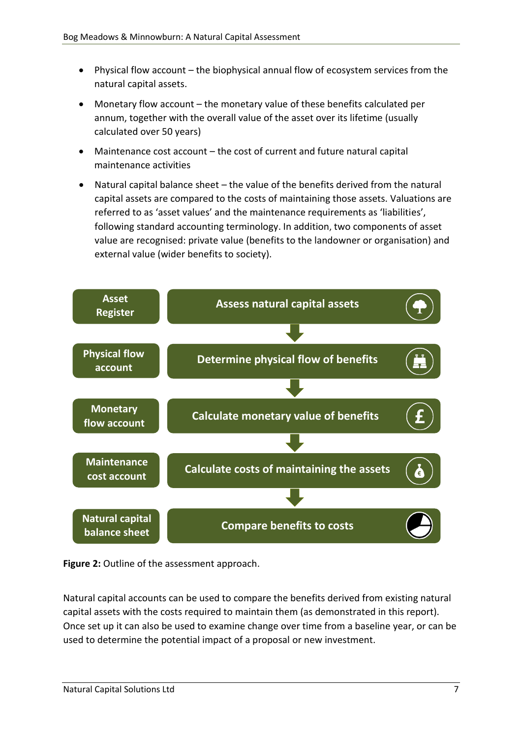- Physical flow account the biophysical annual flow of ecosystem services from the natural capital assets.
- Monetary flow account the monetary value of these benefits calculated per annum, together with the overall value of the asset over its lifetime (usually calculated over 50 years)
- Maintenance cost account the cost of current and future natural capital maintenance activities
- Natural capital balance sheet the value of the benefits derived from the natural capital assets are compared to the costs of maintaining those assets. Valuations are referred to as 'asset values' and the maintenance requirements as 'liabilities', following standard accounting terminology. In addition, two components of asset value are recognised: private value (benefits to the landowner or organisation) and external value (wider benefits to society).





<span id="page-6-0"></span>Natural capital accounts can be used to compare the benefits derived from existing natural capital assets with the costs required to maintain them (as demonstrated in this report). Once set up it can also be used to examine change over time from a baseline year, or can be used to determine the potential impact of a proposal or new investment.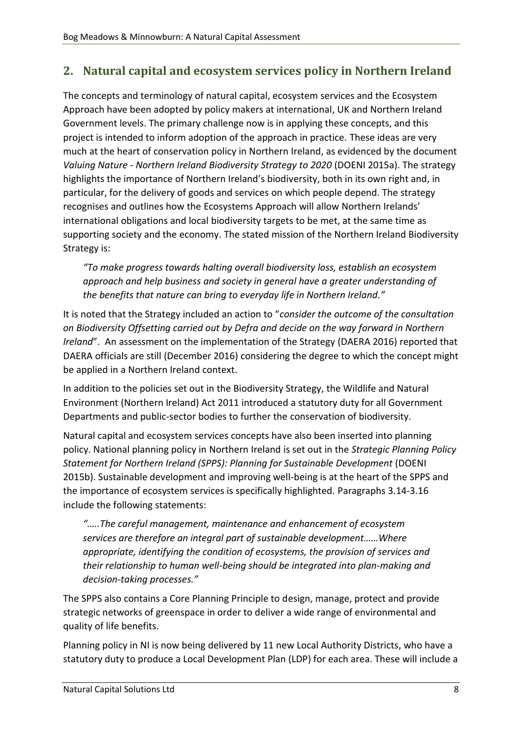# **2. Natural capital and ecosystem services policy in Northern Ireland**

The concepts and terminology of natural capital, ecosystem services and the Ecosystem Approach have been adopted by policy makers at international, UK and Northern Ireland Government levels. The primary challenge now is in applying these concepts, and this project is intended to inform adoption of the approach in practice. These ideas are very much at the heart of conservation policy in Northern Ireland, as evidenced by the document *Valuing Nature - Northern Ireland Biodiversity Strategy to 2020* (DOENI 2015a). The strategy highlights the importance of Northern Ireland's biodiversity, both in its own right and, in particular, for the delivery of goods and services on which people depend. The strategy recognises and outlines how the Ecosystems Approach will allow Northern Irelands' international obligations and local biodiversity targets to be met, at the same time as supporting society and the economy. The stated mission of the Northern Ireland Biodiversity Strategy is:

*"To make progress towards halting overall biodiversity loss, establish an ecosystem approach and help business and society in general have a greater understanding of the benefits that nature can bring to everyday life in Northern Ireland."* 

It is noted that the Strategy included an action to "*consider the outcome of the consultation on Biodiversity Offsetting carried out by Defra and decide on the way forward in Northern Ireland*". An assessment on the implementation of the Strategy (DAERA 2016) reported that DAERA officials are still (December 2016) considering the degree to which the concept might be applied in a Northern Ireland context.

In addition to the policies set out in the Biodiversity Strategy, the Wildlife and Natural Environment (Northern Ireland) Act 2011 introduced a statutory duty for all Government Departments and public-sector bodies to further the conservation of biodiversity.

Natural capital and ecosystem services concepts have also been inserted into planning policy. National planning policy in Northern Ireland is set out in the *Strategic Planning Policy Statement for Northern Ireland (SPPS): Planning for Sustainable Development* (DOENI 2015b). Sustainable development and improving well-being is at the heart of the SPPS and the importance of ecosystem services is specifically highlighted. Paragraphs 3.14-3.16 include the following statements:

*"…..The careful management, maintenance and enhancement of ecosystem services are therefore an integral part of sustainable development……Where appropriate, identifying the condition of ecosystems, the provision of services and their relationship to human well-being should be integrated into plan-making and decision-taking processes."*

The SPPS also contains a Core Planning Principle to design, manage, protect and provide strategic networks of greenspace in order to deliver a wide range of environmental and quality of life benefits.

Planning policy in NI is now being delivered by 11 new Local Authority Districts, who have a statutory duty to produce a Local Development Plan (LDP) for each area. These will include a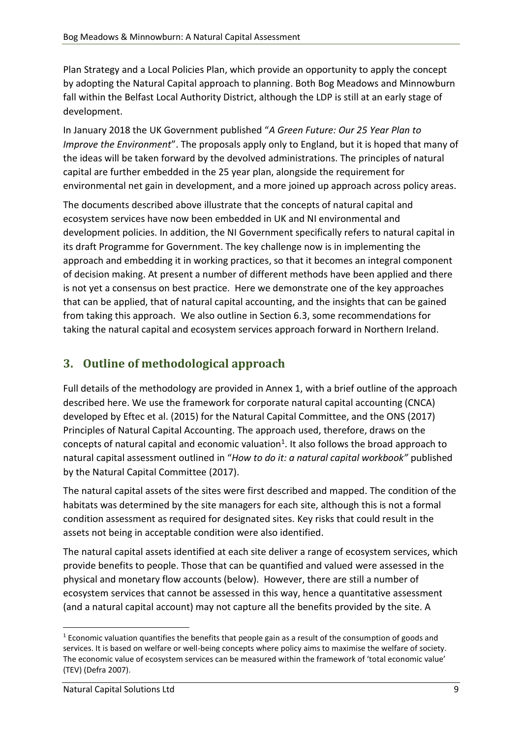Plan Strategy and a Local Policies Plan, which provide an opportunity to apply the concept by adopting the Natural Capital approach to planning. Both Bog Meadows and Minnowburn fall within the Belfast Local Authority District, although the LDP is still at an early stage of development.

In January 2018 the UK Government published "*A Green Future: Our 25 Year Plan to Improve the Environment*". The proposals apply only to England, but it is hoped that many of the ideas will be taken forward by the devolved administrations. The principles of natural capital are further embedded in the 25 year plan, alongside the requirement for environmental net gain in development, and a more joined up approach across policy areas.

The documents described above illustrate that the concepts of natural capital and ecosystem services have now been embedded in UK and NI environmental and development policies. In addition, the NI Government specifically refers to natural capital in its draft Programme for Government. The key challenge now is in implementing the approach and embedding it in working practices, so that it becomes an integral component of decision making. At present a number of different methods have been applied and there is not yet a consensus on best practice. Here we demonstrate one of the key approaches that can be applied, that of natural capital accounting, and the insights that can be gained from taking this approach. We also outline in Section 6.3, some recommendations for taking the natural capital and ecosystem services approach forward in Northern Ireland.

# <span id="page-8-0"></span>**3. Outline of methodological approach**

Full details of the methodology are provided in Annex 1, with a brief outline of the approach described here. We use the framework for corporate natural capital accounting (CNCA) developed by Eftec et al. (2015) for the Natural Capital Committee, and the ONS (2017) Principles of Natural Capital Accounting. The approach used, therefore, draws on the concepts of natural capital and economic valuation<sup>1</sup>. It also follows the broad approach to natural capital assessment outlined in "*How to do it: a natural capital workbook"* published by the Natural Capital Committee (2017).

The natural capital assets of the sites were first described and mapped. The condition of the habitats was determined by the site managers for each site, although this is not a formal condition assessment as required for designated sites. Key risks that could result in the assets not being in acceptable condition were also identified.

The natural capital assets identified at each site deliver a range of ecosystem services, which provide benefits to people. Those that can be quantified and valued were assessed in the physical and monetary flow accounts (below). However, there are still a number of ecosystem services that cannot be assessed in this way, hence a quantitative assessment (and a natural capital account) may not capture all the benefits provided by the site. A

1

 $1$  Economic valuation quantifies the benefits that people gain as a result of the consumption of goods and services. It is based on welfare or well-being concepts where policy aims to maximise the welfare of society. The economic value of ecosystem services can be measured within the framework of 'total economic value' (TEV) (Defra 2007).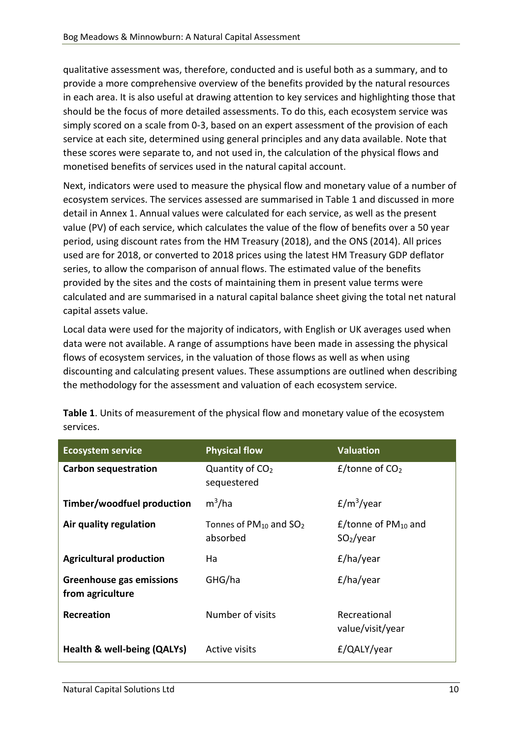qualitative assessment was, therefore, conducted and is useful both as a summary, and to provide a more comprehensive overview of the benefits provided by the natural resources in each area. It is also useful at drawing attention to key services and highlighting those that should be the focus of more detailed assessments. To do this, each ecosystem service was simply scored on a scale from 0-3, based on an expert assessment of the provision of each service at each site, determined using general principles and any data available. Note that these scores were separate to, and not used in, the calculation of the physical flows and monetised benefits of services used in the natural capital account.

Next, indicators were used to measure the physical flow and monetary value of a number of ecosystem services. The services assessed are summarised in Table 1 and discussed in more detail in Annex 1. Annual values were calculated for each service, as well as the present value (PV) of each service, which calculates the value of the flow of benefits over a 50 year period, using discount rates from the HM Treasury (2018), and the ONS (2014). All prices used are for 2018, or converted to 2018 prices using the latest HM Treasury GDP deflator series, to allow the comparison of annual flows. The estimated value of the benefits provided by the sites and the costs of maintaining them in present value terms were calculated and are summarised in a natural capital balance sheet giving the total net natural capital assets value.

Local data were used for the majority of indicators, with English or UK averages used when data were not available. A range of assumptions have been made in assessing the physical flows of ecosystem services, in the valuation of those flows as well as when using discounting and calculating present values. These assumptions are outlined when describing the methodology for the assessment and valuation of each ecosystem service.

| <b>Ecosystem service</b>                            | <b>Physical flow</b>                       | <b>Valuation</b>                                            |
|-----------------------------------------------------|--------------------------------------------|-------------------------------------------------------------|
| <b>Carbon sequestration</b>                         | Quantity of CO <sub>2</sub><br>sequestered | $E$ /tonne of CO <sub>2</sub>                               |
| Timber/woodfuel production                          | $m^3/ha$                                   | $E/m^3$ /year                                               |
| Air quality regulation                              | Tonnes of $PM_{10}$ and $SO_2$<br>absorbed | $E$ /tonne of PM <sub>10</sub> and<br>SO <sub>2</sub> /year |
| <b>Agricultural production</b>                      | Ha                                         | £/ha/year                                                   |
| <b>Greenhouse gas emissions</b><br>from agriculture | GHG/ha                                     | £/ha/year                                                   |
| <b>Recreation</b>                                   | Number of visits                           | Recreational<br>value/visit/year                            |
| Health & well-being (QALYs)                         | Active visits                              | £/QALY/year                                                 |

**Table 1**. Units of measurement of the physical flow and monetary value of the ecosystem services.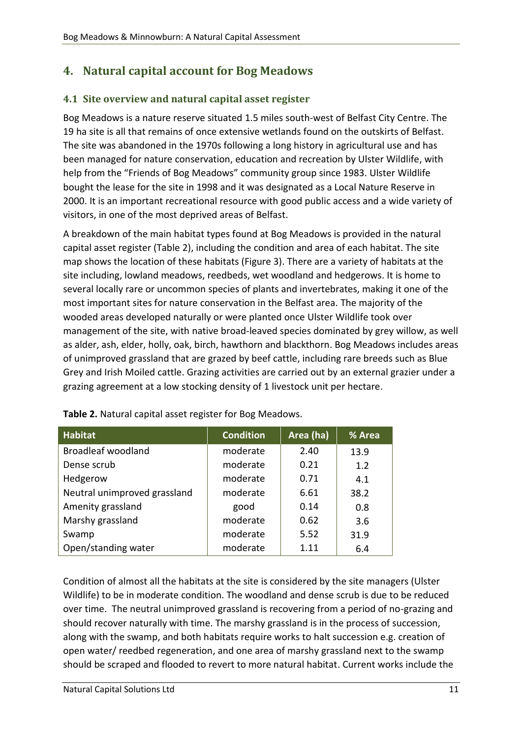# <span id="page-10-0"></span>**4. Natural capital account for Bog Meadows**

## <span id="page-10-1"></span>**4.1 Site overview and natural capital asset register**

Bog Meadows is a nature reserve situated 1.5 miles south-west of Belfast City Centre. The 19 ha site is all that remains of once extensive wetlands found on the outskirts of Belfast. The site was abandoned in the 1970s following a long history in agricultural use and has been managed for nature conservation, education and recreation by Ulster Wildlife, with help from the "Friends of Bog Meadows" community group since 1983. Ulster Wildlife bought the lease for the site in 1998 and it was designated as a Local Nature Reserve in 2000. It is an important recreational resource with good public access and a wide variety of visitors, in one of the most deprived areas of Belfast.

A breakdown of the main habitat types found at Bog Meadows is provided in the natural capital asset register (Table 2), including the condition and area of each habitat. The site map shows the location of these habitats (Figure 3). There are a variety of habitats at the site including, lowland meadows, reedbeds, wet woodland and hedgerows. It is home to several locally rare or uncommon species of plants and invertebrates, making it one of the most important sites for nature conservation in the Belfast area. The majority of the wooded areas developed naturally or were planted once Ulster Wildlife took over management of the site, with native broad-leaved species dominated by grey willow, as well as alder, ash, elder, holly, oak, birch, hawthorn and blackthorn. Bog Meadows includes areas of unimproved grassland that are grazed by beef cattle, including rare breeds such as Blue Grey and Irish Moiled cattle. Grazing activities are carried out by an external grazier under a grazing agreement at a low stocking density of 1 livestock unit per hectare.

| <b>Habitat</b>               | <b>Condition</b> | Area (ha) | % Area |
|------------------------------|------------------|-----------|--------|
| <b>Broadleaf woodland</b>    | moderate         | 2.40      | 13.9   |
| Dense scrub                  | moderate         | 0.21      | 1.2    |
| Hedgerow                     | moderate         | 0.71      | 4.1    |
| Neutral unimproved grassland | moderate         | 6.61      | 38.2   |
| Amenity grassland            | good             | 0.14      | 0.8    |
| Marshy grassland             | moderate         | 0.62      | 3.6    |
| Swamp                        | moderate         | 5.52      | 31.9   |
| Open/standing water          | moderate         | 1 1 1     | 6.4    |

**Table 2.** Natural capital asset register for Bog Meadows.

Condition of almost all the habitats at the site is considered by the site managers (Ulster Wildlife) to be in moderate condition. The woodland and dense scrub is due to be reduced over time. The neutral unimproved grassland is recovering from a period of no-grazing and should recover naturally with time. The marshy grassland is in the process of succession, along with the swamp, and both habitats require works to halt succession e.g. creation of open water/ reedbed regeneration, and one area of marshy grassland next to the swamp should be scraped and flooded to revert to more natural habitat. Current works include the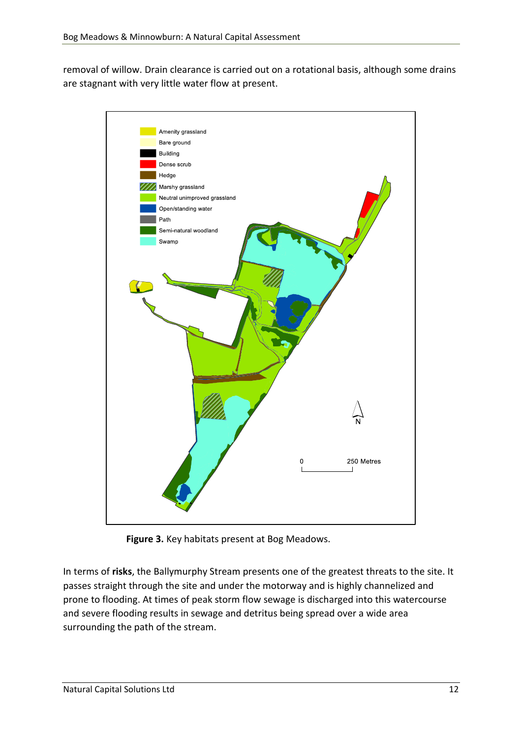removal of willow. Drain clearance is carried out on a rotational basis, although some drains are stagnant with very little water flow at present.



**Figure 3.** Key habitats present at Bog Meadows.

In terms of **risks**, the Ballymurphy Stream presents one of the greatest threats to the site. It passes straight through the site and under the motorway and is highly channelized and prone to flooding. At times of peak storm flow sewage is discharged into this watercourse and severe flooding results in sewage and detritus being spread over a wide area surrounding the path of the stream.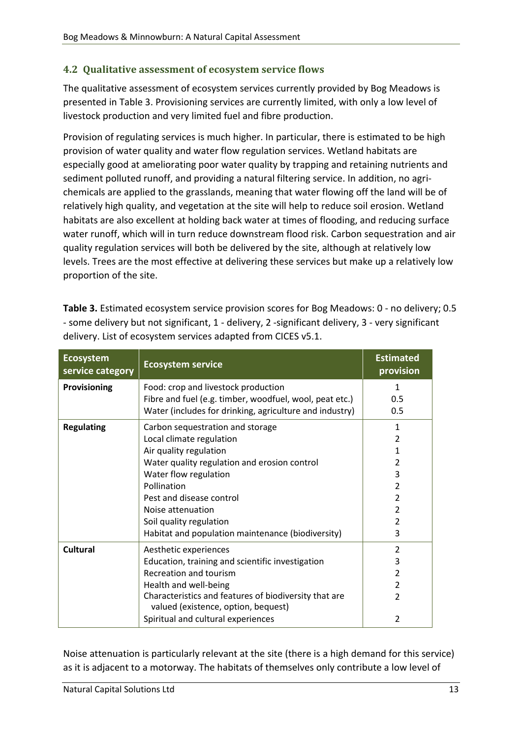#### <span id="page-12-0"></span>**4.2 Qualitative assessment of ecosystem service flows**

The qualitative assessment of ecosystem services currently provided by Bog Meadows is presented in Table 3. Provisioning services are currently limited, with only a low level of livestock production and very limited fuel and fibre production.

Provision of regulating services is much higher. In particular, there is estimated to be high provision of water quality and water flow regulation services. Wetland habitats are especially good at ameliorating poor water quality by trapping and retaining nutrients and sediment polluted runoff, and providing a natural filtering service. In addition, no agrichemicals are applied to the grasslands, meaning that water flowing off the land will be of relatively high quality, and vegetation at the site will help to reduce soil erosion. Wetland habitats are also excellent at holding back water at times of flooding, and reducing surface water runoff, which will in turn reduce downstream flood risk. Carbon sequestration and air quality regulation services will both be delivered by the site, although at relatively low levels. Trees are the most effective at delivering these services but make up a relatively low proportion of the site.

| <b>Ecosystem</b><br>service category | <b>Ecosystem service</b>                                                                     | <b>Estimated</b><br>provision |
|--------------------------------------|----------------------------------------------------------------------------------------------|-------------------------------|
| Provisioning                         | Food: crop and livestock production                                                          | $\mathbf{1}$                  |
|                                      | Fibre and fuel (e.g. timber, woodfuel, wool, peat etc.)                                      | 0.5                           |
|                                      | Water (includes for drinking, agriculture and industry)                                      | 0.5                           |
| <b>Regulating</b>                    | Carbon sequestration and storage                                                             | $\mathbf{1}$                  |
|                                      | Local climate regulation                                                                     | 2                             |
|                                      | Air quality regulation                                                                       | 1                             |
|                                      | Water quality regulation and erosion control                                                 | 2                             |
|                                      | Water flow regulation                                                                        | 3                             |
|                                      | Pollination                                                                                  | 2                             |
|                                      | Pest and disease control                                                                     | $\overline{\mathcal{L}}$      |
|                                      | Noise attenuation                                                                            | $\overline{2}$                |
|                                      | Soil quality regulation                                                                      | $\overline{\mathcal{L}}$      |
|                                      | Habitat and population maintenance (biodiversity)                                            | 3                             |
| <b>Cultural</b>                      | Aesthetic experiences                                                                        | $\overline{2}$                |
|                                      | Education, training and scientific investigation                                             | 3                             |
|                                      | Recreation and tourism                                                                       | 2                             |
|                                      | Health and well-being                                                                        | $\overline{2}$                |
|                                      | Characteristics and features of biodiversity that are<br>valued (existence, option, bequest) | 2                             |
|                                      | Spiritual and cultural experiences                                                           | 2                             |

**Table 3.** Estimated ecosystem service provision scores for Bog Meadows: 0 - no delivery; 0.5 - some delivery but not significant, 1 - delivery, 2 -significant delivery, 3 - very significant delivery. List of ecosystem services adapted from CICES v5.1.

Noise attenuation is particularly relevant at the site (there is a high demand for this service) as it is adjacent to a motorway. The habitats of themselves only contribute a low level of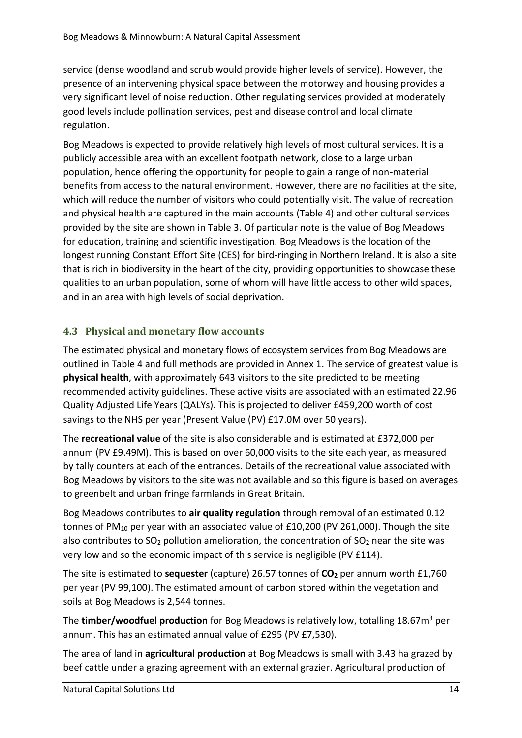service (dense woodland and scrub would provide higher levels of service). However, the presence of an intervening physical space between the motorway and housing provides a very significant level of noise reduction. Other regulating services provided at moderately good levels include pollination services, pest and disease control and local climate regulation.

Bog Meadows is expected to provide relatively high levels of most cultural services. It is a publicly accessible area with an excellent footpath network, close to a large urban population, hence offering the opportunity for people to gain a range of non-material benefits from access to the natural environment. However, there are no facilities at the site, which will reduce the number of visitors who could potentially visit. The value of recreation and physical health are captured in the main accounts (Table 4) and other cultural services provided by the site are shown in Table 3. Of particular note is the value of Bog Meadows for education, training and scientific investigation. Bog Meadows is the location of the longest running Constant Effort Site (CES) for bird-ringing in Northern Ireland. It is also a site that is rich in biodiversity in the heart of the city, providing opportunities to showcase these qualities to an urban population, some of whom will have little access to other wild spaces, and in an area with high levels of social deprivation.

#### <span id="page-13-0"></span>**4.3 Physical and monetary flow accounts**

The estimated physical and monetary flows of ecosystem services from Bog Meadows are outlined in Table 4 and full methods are provided in Annex 1. The service of greatest value is **physical health**, with approximately 643 visitors to the site predicted to be meeting recommended activity guidelines. These active visits are associated with an estimated 22.96 Quality Adjusted Life Years (QALYs). This is projected to deliver £459,200 worth of cost savings to the NHS per year (Present Value (PV) £17.0M over 50 years).

The **recreational value** of the site is also considerable and is estimated at £372,000 per annum (PV £9.49M). This is based on over 60,000 visits to the site each year, as measured by tally counters at each of the entrances. Details of the recreational value associated with Bog Meadows by visitors to the site was not available and so this figure is based on averages to greenbelt and urban fringe farmlands in Great Britain.

Bog Meadows contributes to **air quality regulation** through removal of an estimated 0.12 tonnes of PM<sub>10</sub> per year with an associated value of £10,200 (PV 261,000). Though the site also contributes to  $SO_2$  pollution amelioration, the concentration of  $SO_2$  near the site was very low and so the economic impact of this service is negligible (PV £114).

The site is estimated to **sequester** (capture) 26.57 tonnes of **CO<sup>2</sup>** per annum worth £1,760 per year (PV 99,100). The estimated amount of carbon stored within the vegetation and soils at Bog Meadows is 2,544 tonnes.

The **timber/woodfuel production** for Bog Meadows is relatively low, totalling 18.67m<sup>3</sup> per annum. This has an estimated annual value of £295 (PV £7,530).

The area of land in **agricultural production** at Bog Meadows is small with 3.43 ha grazed by beef cattle under a grazing agreement with an external grazier. Agricultural production of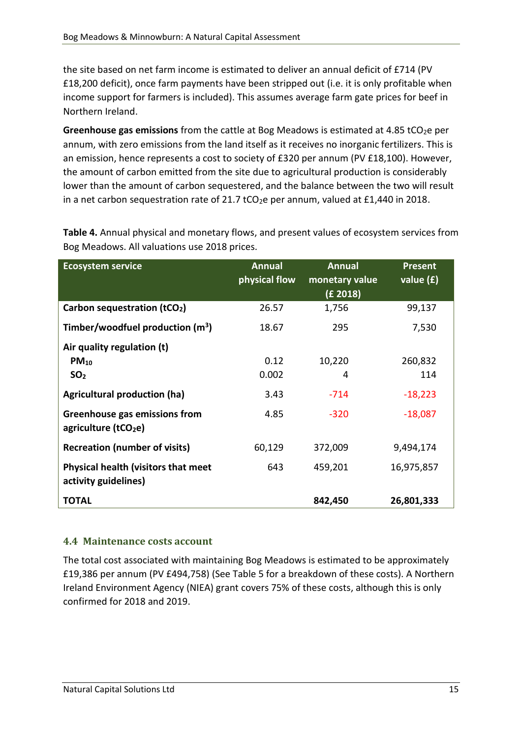the site based on net farm income is estimated to deliver an annual deficit of £714 (PV £18,200 deficit), once farm payments have been stripped out (i.e. it is only profitable when income support for farmers is included). This assumes average farm gate prices for beef in Northern Ireland.

Greenhouse gas emissions from the cattle at Bog Meadows is estimated at 4.85 tCO<sub>2</sub>e per annum, with zero emissions from the land itself as it receives no inorganic fertilizers. This is an emission, hence represents a cost to society of £320 per annum (PV £18,100). However, the amount of carbon emitted from the site due to agricultural production is considerably lower than the amount of carbon sequestered, and the balance between the two will result in a net carbon sequestration rate of 21.7 tCO<sub>2</sub>e per annum, valued at £1,440 in 2018.

| <b>Ecosystem service</b>                                           | <b>Annual</b><br>physical flow | <b>Annual</b><br>monetary value<br>(£ 2018) | <b>Present</b><br>value $(f)$ |
|--------------------------------------------------------------------|--------------------------------|---------------------------------------------|-------------------------------|
| Carbon sequestration (tCO <sub>2</sub> )                           | 26.57                          | 1,756                                       | 99,137                        |
| Timber/woodfuel production $(m^3)$                                 | 18.67                          | 295                                         | 7,530                         |
| Air quality regulation (t)                                         |                                |                                             |                               |
| $PM_{10}$                                                          | 0.12                           | 10,220                                      | 260,832                       |
| SO <sub>2</sub>                                                    | 0.002                          | 4                                           | 114                           |
| <b>Agricultural production (ha)</b>                                | 3.43                           | $-714$                                      | $-18,223$                     |
| Greenhouse gas emissions from<br>agriculture (tCO <sub>2</sub> e)  | 4.85                           | $-320$                                      | $-18,087$                     |
| <b>Recreation (number of visits)</b>                               | 60,129                         | 372,009                                     | 9,494,174                     |
| <b>Physical health (visitors that meet</b><br>activity guidelines) | 643                            | 459,201                                     | 16,975,857                    |
| <b>TOTAL</b>                                                       |                                | 842,450                                     | 26,801,333                    |

**Table 4.** Annual physical and monetary flows, and present values of ecosystem services from Bog Meadows. All valuations use 2018 prices.

#### <span id="page-14-0"></span>**4.4 Maintenance costs account**

The total cost associated with maintaining Bog Meadows is estimated to be approximately £19,386 per annum (PV £494,758) (See Table 5 for a breakdown of these costs). A Northern Ireland Environment Agency (NIEA) grant covers 75% of these costs, although this is only confirmed for 2018 and 2019.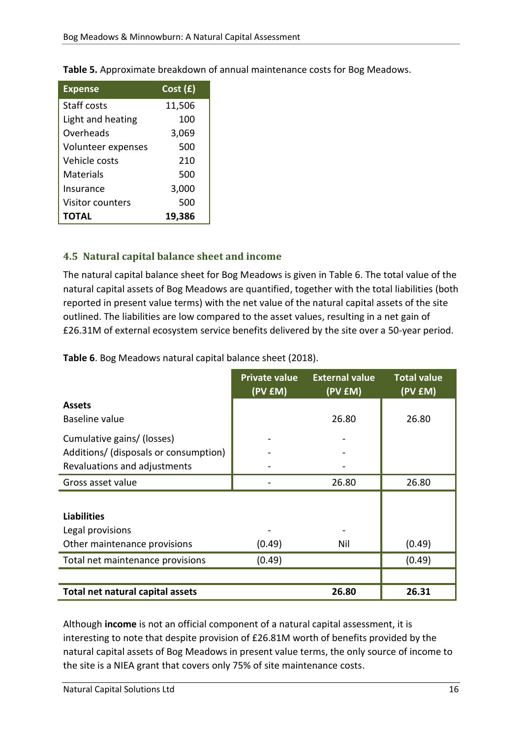| <b>Expense</b>     | Cost(f) |
|--------------------|---------|
| <b>Staff costs</b> | 11,506  |
| Light and heating  | 100     |
| Overheads          | 3,069   |
| Volunteer expenses | 500     |
| Vehicle costs      | 210     |
| <b>Materials</b>   | 500     |
| Insurance          | 3,000   |
| Visitor counters   | 500     |
| TOTAL              | 19,386  |

**Table 5.** Approximate breakdown of annual maintenance costs for Bog Meadows.

#### <span id="page-15-0"></span>**4.5 Natural capital balance sheet and income**

The natural capital balance sheet for Bog Meadows is given in Table 6. The total value of the natural capital assets of Bog Meadows are quantified, together with the total liabilities (both reported in present value terms) with the net value of the natural capital assets of the site outlined. The liabilities are low compared to the asset values, resulting in a net gain of £26.31M of external ecosystem service benefits delivered by the site over a 50-year period.

**Table 6**. Bog Meadows natural capital balance sheet (2018).

|                                       | <b>Private value</b><br>(PV <sub>EM</sub> ) | <b>External value</b><br>(PV £M) | <b>Total value</b><br>(PV £M) |
|---------------------------------------|---------------------------------------------|----------------------------------|-------------------------------|
| <b>Assets</b>                         |                                             |                                  |                               |
| Baseline value                        |                                             | 26.80                            | 26.80                         |
| Cumulative gains/ (losses)            |                                             |                                  |                               |
| Additions/ (disposals or consumption) |                                             |                                  |                               |
| Revaluations and adjustments          |                                             |                                  |                               |
| Gross asset value                     |                                             | 26.80                            | 26.80                         |
|                                       |                                             |                                  |                               |
| <b>Liabilities</b>                    |                                             |                                  |                               |
| Legal provisions                      |                                             |                                  |                               |
| Other maintenance provisions          | (0.49)                                      | Nil                              | (0.49)                        |
| Total net maintenance provisions      | (0.49)                                      |                                  | (0.49)                        |
|                                       |                                             |                                  |                               |
| Total net natural capital assets      |                                             | 26.80                            | 26.31                         |

Although **income** is not an official component of a natural capital assessment, it is interesting to note that despite provision of £26.81M worth of benefits provided by the natural capital assets of Bog Meadows in present value terms, the only source of income to the site is a NIEA grant that covers only 75% of site maintenance costs.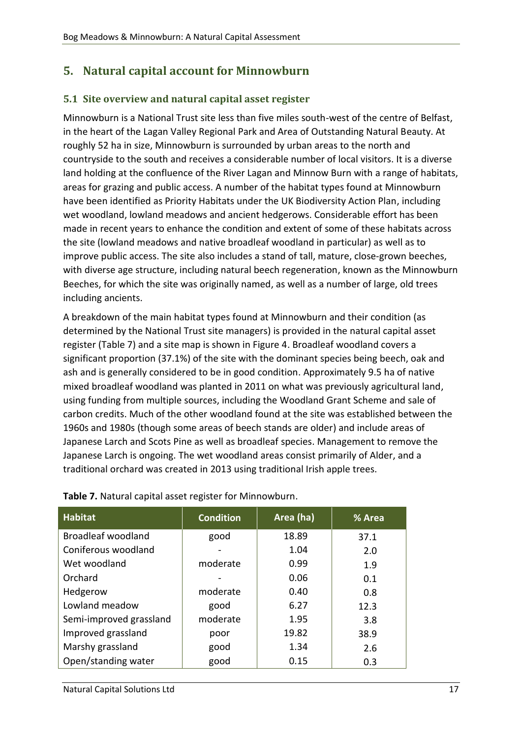# <span id="page-16-0"></span>**5. Natural capital account for Minnowburn**

#### <span id="page-16-1"></span>**5.1 Site overview and natural capital asset register**

Minnowburn is a National Trust site less than five miles south-west of the centre of Belfast, in the heart of the Lagan Valley Regional Park and Area of Outstanding Natural Beauty. At roughly 52 ha in size, Minnowburn is surrounded by urban areas to the north and countryside to the south and receives a considerable number of local visitors. It is a diverse land holding at the confluence of the River Lagan and Minnow Burn with a range of habitats, areas for grazing and public access. A number of the habitat types found at Minnowburn have been identified as Priority Habitats under the UK Biodiversity Action Plan, including wet woodland, lowland meadows and ancient hedgerows. Considerable effort has been made in recent years to enhance the condition and extent of some of these habitats across the site (lowland meadows and native broadleaf woodland in particular) as well as to improve public access. The site also includes a stand of tall, mature, close-grown beeches, with diverse age structure, including natural beech regeneration, known as the Minnowburn Beeches, for which the site was originally named, as well as a number of large, old trees including ancients.

A breakdown of the main habitat types found at Minnowburn and their condition (as determined by the National Trust site managers) is provided in the natural capital asset register (Table 7) and a site map is shown in Figure 4. Broadleaf woodland covers a significant proportion (37.1%) of the site with the dominant species being beech, oak and ash and is generally considered to be in good condition. Approximately 9.5 ha of native mixed broadleaf woodland was planted in 2011 on what was previously agricultural land, using funding from multiple sources, including the Woodland Grant Scheme and sale of carbon credits. Much of the other woodland found at the site was established between the 1960s and 1980s (though some areas of beech stands are older) and include areas of Japanese Larch and Scots Pine as well as broadleaf species. Management to remove the Japanese Larch is ongoing. The wet woodland areas consist primarily of Alder, and a traditional orchard was created in 2013 using traditional Irish apple trees.

| <b>Habitat</b>            | <b>Condition</b> | Area (ha) | % Area |
|---------------------------|------------------|-----------|--------|
| <b>Broadleaf woodland</b> | good             | 18.89     | 37.1   |
| Coniferous woodland       |                  | 1.04      | 2.0    |
| Wet woodland              | moderate         | 0.99      | 1.9    |
| Orchard                   |                  | 0.06      | 0.1    |
| Hedgerow                  | moderate         | 0.40      | 0.8    |
| Lowland meadow            | good             | 6.27      | 12.3   |
| Semi-improved grassland   | moderate         | 1.95      | 3.8    |
| Improved grassland        | poor             | 19.82     | 38.9   |
| Marshy grassland          | good             | 1.34      | 2.6    |
| Open/standing water       | good             | 0.15      | 0.3    |

**Table 7.** Natural capital asset register for Minnowburn.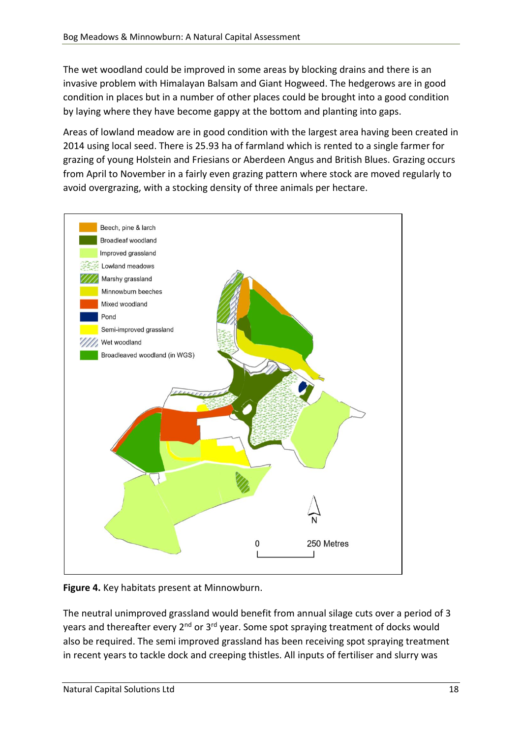The wet woodland could be improved in some areas by blocking drains and there is an invasive problem with Himalayan Balsam and Giant Hogweed. The hedgerows are in good condition in places but in a number of other places could be brought into a good condition by laying where they have become gappy at the bottom and planting into gaps.

Areas of lowland meadow are in good condition with the largest area having been created in 2014 using local seed. There is 25.93 ha of farmland which is rented to a single farmer for grazing of young Holstein and Friesians or Aberdeen Angus and British Blues. Grazing occurs from April to November in a fairly even grazing pattern where stock are moved regularly to avoid overgrazing, with a stocking density of three animals per hectare.



**Figure 4.** Key habitats present at Minnowburn.

The neutral unimproved grassland would benefit from annual silage cuts over a period of 3 years and thereafter every 2<sup>nd</sup> or 3<sup>rd</sup> year. Some spot spraying treatment of docks would also be required. The semi improved grassland has been receiving spot spraying treatment in recent years to tackle dock and creeping thistles. All inputs of fertiliser and slurry was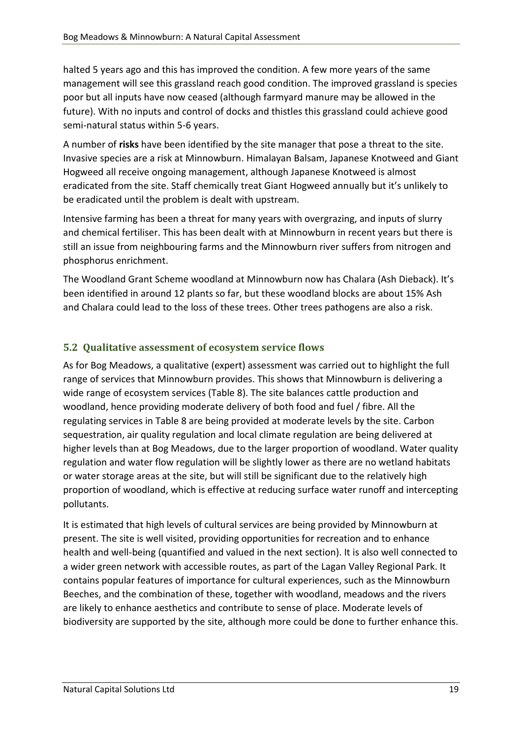halted 5 years ago and this has improved the condition. A few more years of the same management will see this grassland reach good condition. The improved grassland is species poor but all inputs have now ceased (although farmyard manure may be allowed in the future). With no inputs and control of docks and thistles this grassland could achieve good semi-natural status within 5-6 years.

A number of **risks** have been identified by the site manager that pose a threat to the site. Invasive species are a risk at Minnowburn. Himalayan Balsam, Japanese Knotweed and Giant Hogweed all receive ongoing management, although Japanese Knotweed is almost eradicated from the site. Staff chemically treat Giant Hogweed annually but it's unlikely to be eradicated until the problem is dealt with upstream.

Intensive farming has been a threat for many years with overgrazing, and inputs of slurry and chemical fertiliser. This has been dealt with at Minnowburn in recent years but there is still an issue from neighbouring farms and the Minnowburn river suffers from nitrogen and phosphorus enrichment.

The Woodland Grant Scheme woodland at Minnowburn now has Chalara (Ash Dieback). It's been identified in around 12 plants so far, but these woodland blocks are about 15% Ash and Chalara could lead to the loss of these trees. Other trees pathogens are also a risk.

#### <span id="page-18-0"></span>**5.2 Qualitative assessment of ecosystem service flows**

As for Bog Meadows, a qualitative (expert) assessment was carried out to highlight the full range of services that Minnowburn provides. This shows that Minnowburn is delivering a wide range of ecosystem services (Table 8). The site balances cattle production and woodland, hence providing moderate delivery of both food and fuel / fibre. All the regulating services in Table 8 are being provided at moderate levels by the site. Carbon sequestration, air quality regulation and local climate regulation are being delivered at higher levels than at Bog Meadows, due to the larger proportion of woodland. Water quality regulation and water flow regulation will be slightly lower as there are no wetland habitats or water storage areas at the site, but will still be significant due to the relatively high proportion of woodland, which is effective at reducing surface water runoff and intercepting pollutants.

It is estimated that high levels of cultural services are being provided by Minnowburn at present. The site is well visited, providing opportunities for recreation and to enhance health and well-being (quantified and valued in the next section). It is also well connected to a wider green network with accessible routes, as part of the Lagan Valley Regional Park. It contains popular features of importance for cultural experiences, such as the Minnowburn Beeches, and the combination of these, together with woodland, meadows and the rivers are likely to enhance aesthetics and contribute to sense of place. Moderate levels of biodiversity are supported by the site, although more could be done to further enhance this.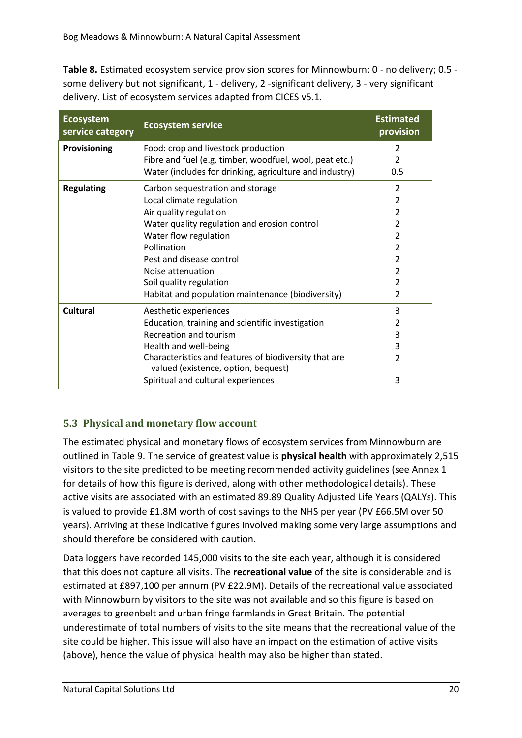**Table 8.** Estimated ecosystem service provision scores for Minnowburn: 0 - no delivery; 0.5 some delivery but not significant, 1 - delivery, 2 -significant delivery, 3 - very significant delivery. List of ecosystem services adapted from CICES v5.1.

| <b>Ecosystem</b><br>service category | <b>Ecosystem service</b>                                                                     | <b>Estimated</b><br>provision |
|--------------------------------------|----------------------------------------------------------------------------------------------|-------------------------------|
| Provisioning                         | Food: crop and livestock production                                                          | 2                             |
|                                      | Fibre and fuel (e.g. timber, woodfuel, wool, peat etc.)                                      | $\overline{2}$                |
|                                      | Water (includes for drinking, agriculture and industry)                                      | 0.5                           |
| <b>Regulating</b>                    | Carbon sequestration and storage                                                             | $\mathcal{P}$                 |
|                                      | Local climate regulation                                                                     | $\overline{2}$                |
|                                      | Air quality regulation                                                                       | $\overline{2}$                |
|                                      | Water quality regulation and erosion control                                                 | $\overline{2}$                |
|                                      | Water flow regulation                                                                        | $\overline{2}$                |
|                                      | Pollination                                                                                  | $\overline{2}$                |
|                                      | Pest and disease control                                                                     | 2                             |
|                                      | Noise attenuation                                                                            | $\mathcal{P}$                 |
|                                      | Soil quality regulation                                                                      | $\overline{2}$                |
|                                      | Habitat and population maintenance (biodiversity)                                            | 2                             |
| <b>Cultural</b>                      | Aesthetic experiences                                                                        | 3                             |
|                                      | Education, training and scientific investigation                                             | $\overline{2}$                |
|                                      | Recreation and tourism                                                                       | 3                             |
|                                      | Health and well-being                                                                        | 3                             |
|                                      | Characteristics and features of biodiversity that are<br>valued (existence, option, bequest) | $\overline{2}$                |
|                                      | Spiritual and cultural experiences                                                           | 3                             |

## <span id="page-19-0"></span>**5.3 Physical and monetary flow account**

The estimated physical and monetary flows of ecosystem services from Minnowburn are outlined in Table 9. The service of greatest value is **physical health** with approximately 2,515 visitors to the site predicted to be meeting recommended activity guidelines (see Annex 1 for details of how this figure is derived, along with other methodological details). These active visits are associated with an estimated 89.89 Quality Adjusted Life Years (QALYs). This is valued to provide £1.8M worth of cost savings to the NHS per year (PV £66.5M over 50 years). Arriving at these indicative figures involved making some very large assumptions and should therefore be considered with caution.

Data loggers have recorded 145,000 visits to the site each year, although it is considered that this does not capture all visits. The **recreational value** of the site is considerable and is estimated at £897,100 per annum (PV £22.9M). Details of the recreational value associated with Minnowburn by visitors to the site was not available and so this figure is based on averages to greenbelt and urban fringe farmlands in Great Britain. The potential underestimate of total numbers of visits to the site means that the recreational value of the site could be higher. This issue will also have an impact on the estimation of active visits (above), hence the value of physical health may also be higher than stated.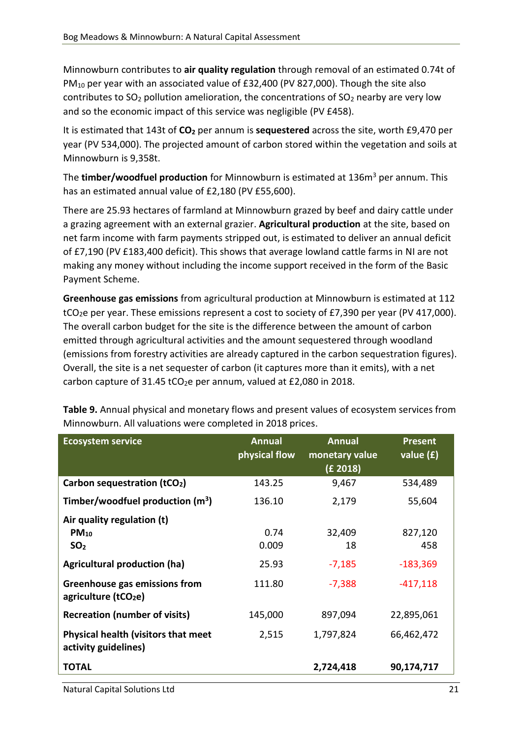Minnowburn contributes to **air quality regulation** through removal of an estimated 0.74t of PM<sup>10</sup> per year with an associated value of £32,400 (PV 827,000). Though the site also contributes to  $SO_2$  pollution amelioration, the concentrations of  $SO_2$  nearby are very low and so the economic impact of this service was negligible (PV £458).

It is estimated that 143t of **CO<sup>2</sup>** per annum is **sequestered** across the site, worth £9,470 per year (PV 534,000). The projected amount of carbon stored within the vegetation and soils at Minnowburn is 9,358t.

The **timber/woodfuel production** for Minnowburn is estimated at 136m<sup>3</sup> per annum. This has an estimated annual value of £2,180 (PV £55,600).

There are 25.93 hectares of farmland at Minnowburn grazed by beef and dairy cattle under a grazing agreement with an external grazier. **Agricultural production** at the site, based on net farm income with farm payments stripped out, is estimated to deliver an annual deficit of £7,190 (PV £183,400 deficit). This shows that average lowland cattle farms in NI are not making any money without including the income support received in the form of the Basic Payment Scheme.

**Greenhouse gas emissions** from agricultural production at Minnowburn is estimated at 112 tCO<sub>2</sub>e per year. These emissions represent a cost to society of £7,390 per year (PV 417,000). The overall carbon budget for the site is the difference between the amount of carbon emitted through agricultural activities and the amount sequestered through woodland (emissions from forestry activities are already captured in the carbon sequestration figures). Overall, the site is a net sequester of carbon (it captures more than it emits), with a net carbon capture of 31.45 tCO<sub>2</sub>e per annum, valued at £2,080 in 2018.

| <b>Ecosystem service</b>                                          | <b>Annual</b> | <b>Annual</b>  | <b>Present</b> |
|-------------------------------------------------------------------|---------------|----------------|----------------|
|                                                                   | physical flow | monetary value | value $(f)$    |
|                                                                   |               | (E 2018)       |                |
| Carbon sequestration (tCO <sub>2</sub> )                          | 143.25        | 9,467          | 534,489        |
| Timber/woodfuel production $(m^3)$                                | 136.10        | 2,179          | 55,604         |
| Air quality regulation (t)                                        |               |                |                |
| $PM_{10}$                                                         | 0.74          | 32,409         | 827,120        |
| SO <sub>2</sub>                                                   | 0.009         | 18             | 458            |
| <b>Agricultural production (ha)</b>                               | 25.93         | $-7,185$       | $-183,369$     |
| Greenhouse gas emissions from<br>agriculture (tCO <sub>2</sub> e) | 111.80        | $-7,388$       | $-417,118$     |
| <b>Recreation (number of visits)</b>                              | 145,000       | 897,094        | 22,895,061     |
| Physical health (visitors that meet<br>activity guidelines)       | 2,515         | 1,797,824      | 66,462,472     |
| <b>TOTAL</b>                                                      |               | 2,724,418      | 90,174,717     |
|                                                                   |               |                |                |

**Table 9.** Annual physical and monetary flows and present values of ecosystem services from Minnowburn. All valuations were completed in 2018 prices.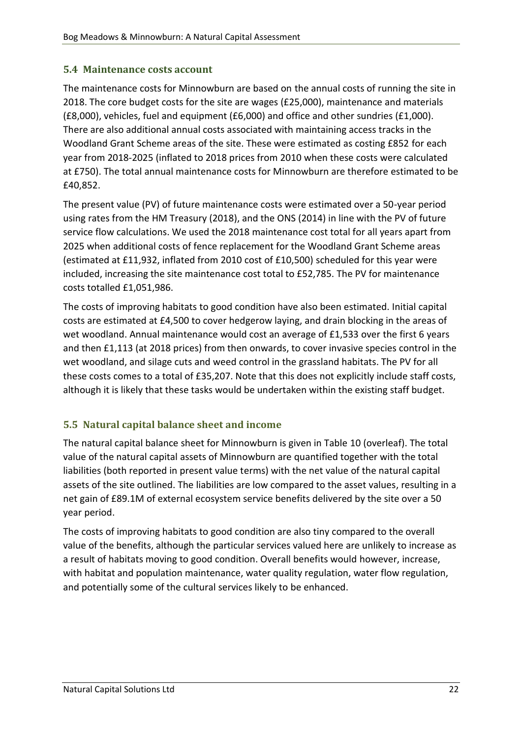#### <span id="page-21-0"></span>**5.4 Maintenance costs account**

The maintenance costs for Minnowburn are based on the annual costs of running the site in 2018. The core budget costs for the site are wages (£25,000), maintenance and materials (£8,000), vehicles, fuel and equipment (£6,000) and office and other sundries (£1,000). There are also additional annual costs associated with maintaining access tracks in the Woodland Grant Scheme areas of the site. These were estimated as costing £852 for each year from 2018-2025 (inflated to 2018 prices from 2010 when these costs were calculated at £750). The total annual maintenance costs for Minnowburn are therefore estimated to be £40,852.

The present value (PV) of future maintenance costs were estimated over a 50-year period using rates from the HM Treasury (2018), and the ONS (2014) in line with the PV of future service flow calculations. We used the 2018 maintenance cost total for all years apart from 2025 when additional costs of fence replacement for the Woodland Grant Scheme areas (estimated at £11,932, inflated from 2010 cost of £10,500) scheduled for this year were included, increasing the site maintenance cost total to £52,785. The PV for maintenance costs totalled £1,051,986.

The costs of improving habitats to good condition have also been estimated. Initial capital costs are estimated at £4,500 to cover hedgerow laying, and drain blocking in the areas of wet woodland. Annual maintenance would cost an average of £1,533 over the first 6 years and then £1,113 (at 2018 prices) from then onwards, to cover invasive species control in the wet woodland, and silage cuts and weed control in the grassland habitats. The PV for all these costs comes to a total of £35,207. Note that this does not explicitly include staff costs, although it is likely that these tasks would be undertaken within the existing staff budget.

#### <span id="page-21-1"></span>**5.5 Natural capital balance sheet and income**

The natural capital balance sheet for Minnowburn is given in Table 10 (overleaf). The total value of the natural capital assets of Minnowburn are quantified together with the total liabilities (both reported in present value terms) with the net value of the natural capital assets of the site outlined. The liabilities are low compared to the asset values, resulting in a net gain of £89.1M of external ecosystem service benefits delivered by the site over a 50 year period.

The costs of improving habitats to good condition are also tiny compared to the overall value of the benefits, although the particular services valued here are unlikely to increase as a result of habitats moving to good condition. Overall benefits would however, increase, with habitat and population maintenance, water quality regulation, water flow regulation, and potentially some of the cultural services likely to be enhanced.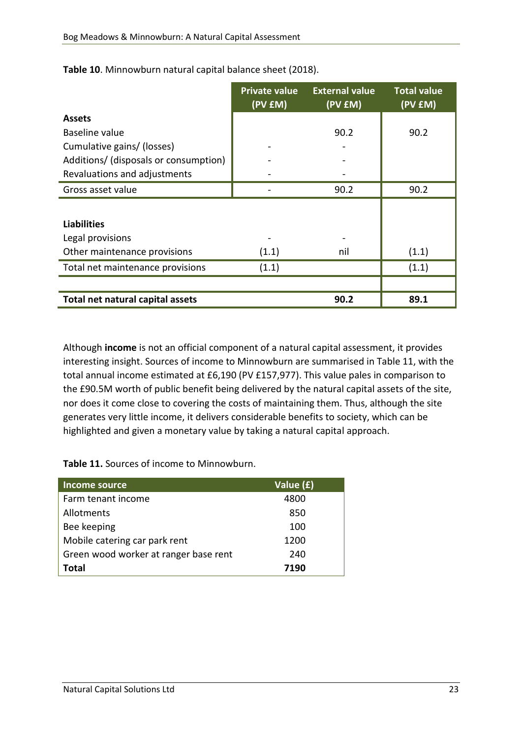|                                       | <b>Private value</b><br>(PV £M) | <b>External value</b><br>(PV £M) | <b>Total value</b><br>(PV EM) |
|---------------------------------------|---------------------------------|----------------------------------|-------------------------------|
| <b>Assets</b>                         |                                 |                                  |                               |
| Baseline value                        |                                 | 90.2                             | 90.2                          |
| Cumulative gains/ (losses)            |                                 |                                  |                               |
| Additions/ (disposals or consumption) |                                 |                                  |                               |
| Revaluations and adjustments          |                                 |                                  |                               |
| Gross asset value                     |                                 | 90.2                             | 90.2                          |
|                                       |                                 |                                  |                               |
| <b>Liabilities</b>                    |                                 |                                  |                               |
| Legal provisions                      |                                 |                                  |                               |
| Other maintenance provisions          | (1.1)                           | nil                              | (1.1)                         |
| Total net maintenance provisions      | (1.1)                           |                                  | (1.1)                         |
|                                       |                                 |                                  |                               |
| Total net natural capital assets      |                                 | 90.2                             | 89.1                          |

**Table 10**. Minnowburn natural capital balance sheet (2018).

Although **income** is not an official component of a natural capital assessment, it provides interesting insight. Sources of income to Minnowburn are summarised in Table 11, with the total annual income estimated at £6,190 (PV £157,977). This value pales in comparison to the £90.5M worth of public benefit being delivered by the natural capital assets of the site, nor does it come close to covering the costs of maintaining them. Thus, although the site generates very little income, it delivers considerable benefits to society, which can be highlighted and given a monetary value by taking a natural capital approach.

**Table 11.** Sources of income to Minnowburn.

<span id="page-22-0"></span>

| <b>Income source</b>                  | Value (£) |
|---------------------------------------|-----------|
| Farm tenant income                    | 4800      |
| Allotments                            | 850       |
| Bee keeping                           | 100       |
| Mobile catering car park rent         | 1200      |
| Green wood worker at ranger base rent | 240       |
| Total                                 | 7190      |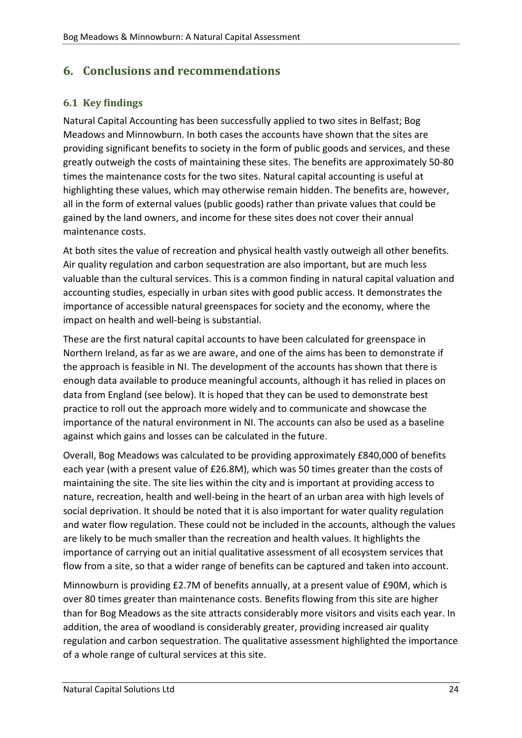# **6. Conclusions and recommendations**

#### <span id="page-23-0"></span>**6.1 Key findings**

Natural Capital Accounting has been successfully applied to two sites in Belfast; Bog Meadows and Minnowburn. In both cases the accounts have shown that the sites are providing significant benefits to society in the form of public goods and services, and these greatly outweigh the costs of maintaining these sites. The benefits are approximately 50-80 times the maintenance costs for the two sites. Natural capital accounting is useful at highlighting these values, which may otherwise remain hidden. The benefits are, however, all in the form of external values (public goods) rather than private values that could be gained by the land owners, and income for these sites does not cover their annual maintenance costs.

At both sites the value of recreation and physical health vastly outweigh all other benefits. Air quality regulation and carbon sequestration are also important, but are much less valuable than the cultural services. This is a common finding in natural capital valuation and accounting studies, especially in urban sites with good public access. It demonstrates the importance of accessible natural greenspaces for society and the economy, where the impact on health and well-being is substantial.

These are the first natural capital accounts to have been calculated for greenspace in Northern Ireland, as far as we are aware, and one of the aims has been to demonstrate if the approach is feasible in NI. The development of the accounts has shown that there is enough data available to produce meaningful accounts, although it has relied in places on data from England (see below). It is hoped that they can be used to demonstrate best practice to roll out the approach more widely and to communicate and showcase the importance of the natural environment in NI. The accounts can also be used as a baseline against which gains and losses can be calculated in the future.

Overall, Bog Meadows was calculated to be providing approximately £840,000 of benefits each year (with a present value of £26.8M), which was 50 times greater than the costs of maintaining the site. The site lies within the city and is important at providing access to nature, recreation, health and well-being in the heart of an urban area with high levels of social deprivation. It should be noted that it is also important for water quality regulation and water flow regulation. These could not be included in the accounts, although the values are likely to be much smaller than the recreation and health values. It highlights the importance of carrying out an initial qualitative assessment of all ecosystem services that flow from a site, so that a wider range of benefits can be captured and taken into account.

Minnowburn is providing £2.7M of benefits annually, at a present value of £90M, which is over 80 times greater than maintenance costs. Benefits flowing from this site are higher than for Bog Meadows as the site attracts considerably more visitors and visits each year. In addition, the area of woodland is considerably greater, providing increased air quality regulation and carbon sequestration. The qualitative assessment highlighted the importance of a whole range of cultural services at this site.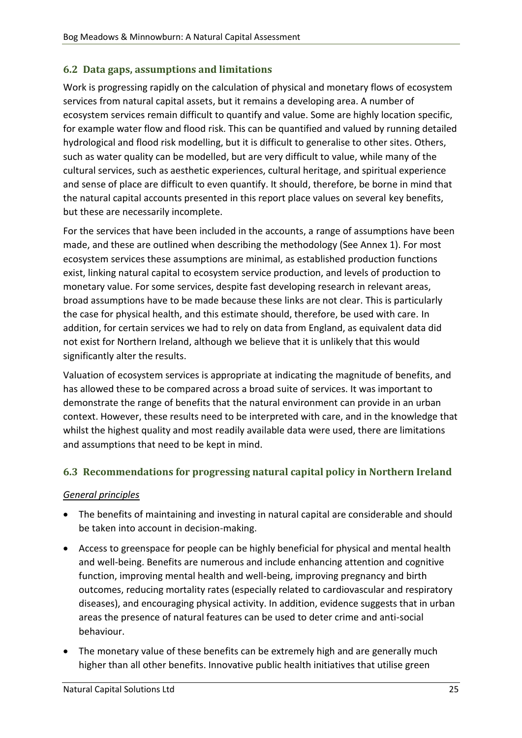#### <span id="page-24-0"></span>**6.2 Data gaps, assumptions and limitations**

Work is progressing rapidly on the calculation of physical and monetary flows of ecosystem services from natural capital assets, but it remains a developing area. A number of ecosystem services remain difficult to quantify and value. Some are highly location specific, for example water flow and flood risk. This can be quantified and valued by running detailed hydrological and flood risk modelling, but it is difficult to generalise to other sites. Others, such as water quality can be modelled, but are very difficult to value, while many of the cultural services, such as aesthetic experiences, cultural heritage, and spiritual experience and sense of place are difficult to even quantify. It should, therefore, be borne in mind that the natural capital accounts presented in this report place values on several key benefits, but these are necessarily incomplete.

For the services that have been included in the accounts, a range of assumptions have been made, and these are outlined when describing the methodology (See Annex 1). For most ecosystem services these assumptions are minimal, as established production functions exist, linking natural capital to ecosystem service production, and levels of production to monetary value. For some services, despite fast developing research in relevant areas, broad assumptions have to be made because these links are not clear. This is particularly the case for physical health, and this estimate should, therefore, be used with care. In addition, for certain services we had to rely on data from England, as equivalent data did not exist for Northern Ireland, although we believe that it is unlikely that this would significantly alter the results.

Valuation of ecosystem services is appropriate at indicating the magnitude of benefits, and has allowed these to be compared across a broad suite of services. It was important to demonstrate the range of benefits that the natural environment can provide in an urban context. However, these results need to be interpreted with care, and in the knowledge that whilst the highest quality and most readily available data were used, there are limitations and assumptions that need to be kept in mind.

#### <span id="page-24-1"></span>**6.3 Recommendations for progressing natural capital policy in Northern Ireland**

#### *General principles*

- The benefits of maintaining and investing in natural capital are considerable and should be taken into account in decision-making.
- Access to greenspace for people can be highly beneficial for physical and mental health and well-being. Benefits are numerous and include enhancing attention and cognitive function, improving mental health and well-being, improving pregnancy and birth outcomes, reducing mortality rates (especially related to cardiovascular and respiratory diseases), and encouraging physical activity. In addition, evidence suggests that in urban areas the presence of natural features can be used to deter crime and anti-social behaviour.
- The monetary value of these benefits can be extremely high and are generally much higher than all other benefits. Innovative public health initiatives that utilise green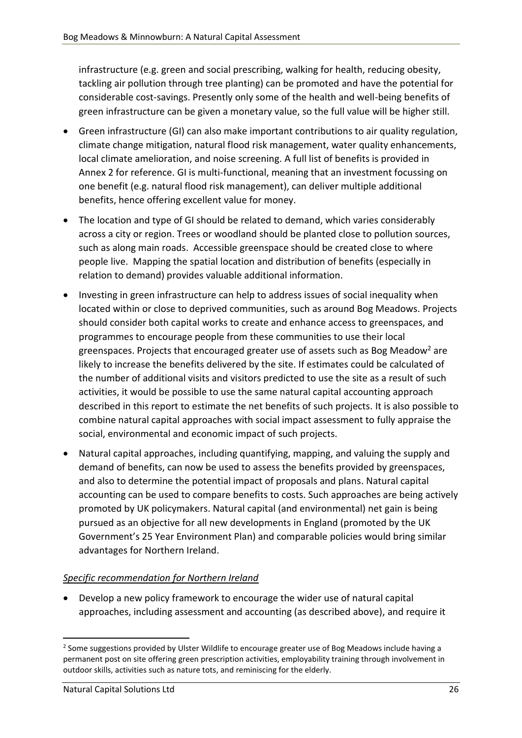infrastructure (e.g. green and social prescribing, walking for health, reducing obesity, tackling air pollution through tree planting) can be promoted and have the potential for considerable cost-savings. Presently only some of the health and well-being benefits of green infrastructure can be given a monetary value, so the full value will be higher still.

- Green infrastructure (GI) can also make important contributions to air quality regulation, climate change mitigation, natural flood risk management, water quality enhancements, local climate amelioration, and noise screening. A full list of benefits is provided in Annex 2 for reference. GI is multi-functional, meaning that an investment focussing on one benefit (e.g. natural flood risk management), can deliver multiple additional benefits, hence offering excellent value for money.
- The location and type of GI should be related to demand, which varies considerably across a city or region. Trees or woodland should be planted close to pollution sources, such as along main roads. Accessible greenspace should be created close to where people live. Mapping the spatial location and distribution of benefits (especially in relation to demand) provides valuable additional information.
- Investing in green infrastructure can help to address issues of social inequality when located within or close to deprived communities, such as around Bog Meadows. Projects should consider both capital works to create and enhance access to greenspaces, and programmes to encourage people from these communities to use their local greenspaces. Projects that encouraged greater use of assets such as Bog Meadow<sup>2</sup> are likely to increase the benefits delivered by the site. If estimates could be calculated of the number of additional visits and visitors predicted to use the site as a result of such activities, it would be possible to use the same natural capital accounting approach described in this report to estimate the net benefits of such projects. It is also possible to combine natural capital approaches with social impact assessment to fully appraise the social, environmental and economic impact of such projects.
- Natural capital approaches, including quantifying, mapping, and valuing the supply and demand of benefits, can now be used to assess the benefits provided by greenspaces, and also to determine the potential impact of proposals and plans. Natural capital accounting can be used to compare benefits to costs. Such approaches are being actively promoted by UK policymakers. Natural capital (and environmental) net gain is being pursued as an objective for all new developments in England (promoted by the UK Government's 25 Year Environment Plan) and comparable policies would bring similar advantages for Northern Ireland.

#### *Specific recommendation for Northern Ireland*

• Develop a new policy framework to encourage the wider use of natural capital approaches, including assessment and accounting (as described above), and require it

**.** 

<sup>&</sup>lt;sup>2</sup> Some suggestions provided by Ulster Wildlife to encourage greater use of Bog Meadows include having a permanent post on site offering green prescription activities, employability training through involvement in outdoor skills, activities such as nature tots, and reminiscing for the elderly.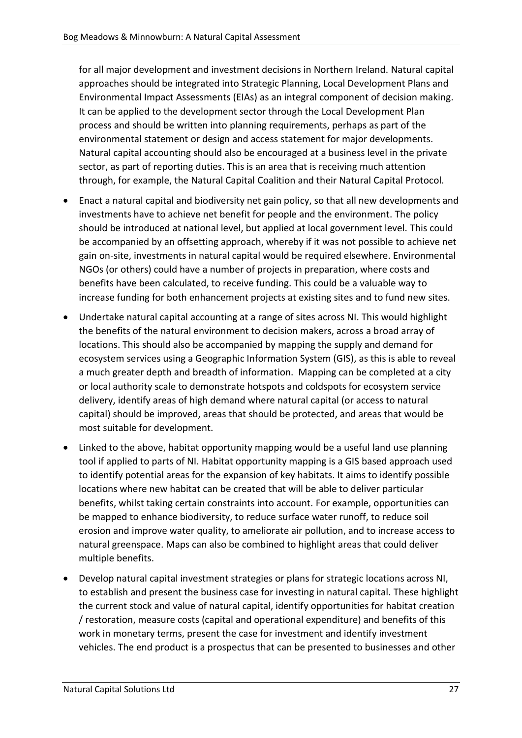for all major development and investment decisions in Northern Ireland. Natural capital approaches should be integrated into Strategic Planning, Local Development Plans and Environmental Impact Assessments (EIAs) as an integral component of decision making. It can be applied to the development sector through the Local Development Plan process and should be written into planning requirements, perhaps as part of the environmental statement or design and access statement for major developments. Natural capital accounting should also be encouraged at a business level in the private sector, as part of reporting duties. This is an area that is receiving much attention through, for example, the Natural Capital Coalition and their Natural Capital Protocol.

- Enact a natural capital and biodiversity net gain policy, so that all new developments and investments have to achieve net benefit for people and the environment. The policy should be introduced at national level, but applied at local government level. This could be accompanied by an offsetting approach, whereby if it was not possible to achieve net gain on-site, investments in natural capital would be required elsewhere. Environmental NGOs (or others) could have a number of projects in preparation, where costs and benefits have been calculated, to receive funding. This could be a valuable way to increase funding for both enhancement projects at existing sites and to fund new sites.
- Undertake natural capital accounting at a range of sites across NI. This would highlight the benefits of the natural environment to decision makers, across a broad array of locations. This should also be accompanied by mapping the supply and demand for ecosystem services using a Geographic Information System (GIS), as this is able to reveal a much greater depth and breadth of information. Mapping can be completed at a city or local authority scale to demonstrate hotspots and coldspots for ecosystem service delivery, identify areas of high demand where natural capital (or access to natural capital) should be improved, areas that should be protected, and areas that would be most suitable for development.
- Linked to the above, habitat opportunity mapping would be a useful land use planning tool if applied to parts of NI. Habitat opportunity mapping is a GIS based approach used to identify potential areas for the expansion of key habitats. It aims to identify possible locations where new habitat can be created that will be able to deliver particular benefits, whilst taking certain constraints into account. For example, opportunities can be mapped to enhance biodiversity, to reduce surface water runoff, to reduce soil erosion and improve water quality, to ameliorate air pollution, and to increase access to natural greenspace. Maps can also be combined to highlight areas that could deliver multiple benefits.
- Develop natural capital investment strategies or plans for strategic locations across NI, to establish and present the business case for investing in natural capital. These highlight the current stock and value of natural capital, identify opportunities for habitat creation / restoration, measure costs (capital and operational expenditure) and benefits of this work in monetary terms, present the case for investment and identify investment vehicles. The end product is a prospectus that can be presented to businesses and other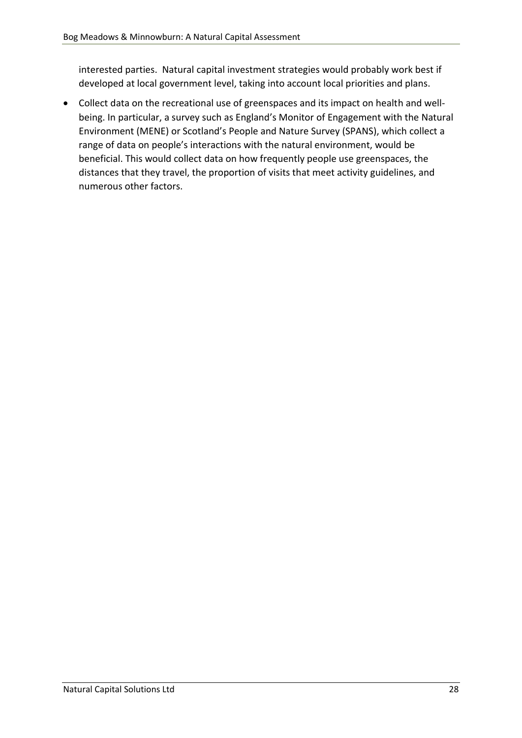interested parties. Natural capital investment strategies would probably work best if developed at local government level, taking into account local priorities and plans.

• Collect data on the recreational use of greenspaces and its impact on health and wellbeing. In particular, a survey such as England's Monitor of Engagement with the Natural Environment (MENE) or Scotland's People and Nature Survey (SPANS), which collect a range of data on people's interactions with the natural environment, would be beneficial. This would collect data on how frequently people use greenspaces, the distances that they travel, the proportion of visits that meet activity guidelines, and numerous other factors.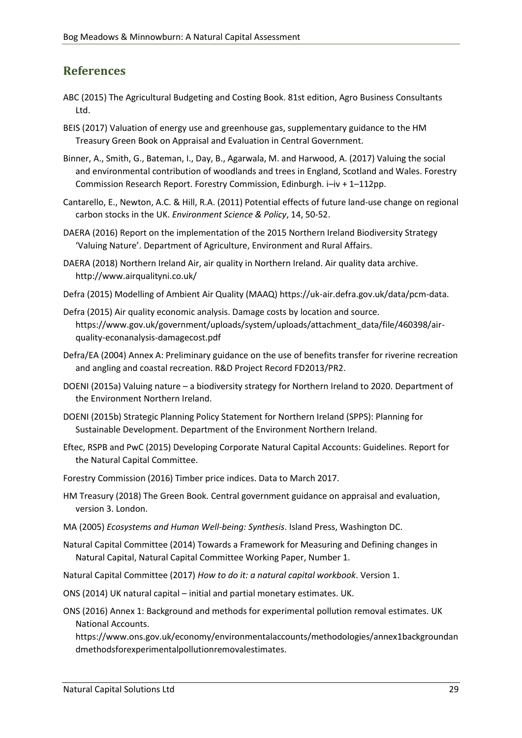## <span id="page-28-0"></span>**References**

- ABC (2015) The Agricultural Budgeting and Costing Book. 81st edition, Agro Business Consultants Ltd.
- BEIS (2017) Valuation of energy use and greenhouse gas, supplementary guidance to the HM Treasury Green Book on Appraisal and Evaluation in Central Government.
- Binner, A., Smith, G., Bateman, I., Day, B., Agarwala, M. and Harwood, A. (2017) Valuing the social and environmental contribution of woodlands and trees in England, Scotland and Wales. Forestry Commission Research Report. Forestry Commission, Edinburgh. i–iv + 1–112pp.
- Cantarello, E., Newton, A.C. & Hill, R.A. (2011) Potential effects of future land-use change on regional carbon stocks in the UK. *Environment Science & Policy*, 14, 50-52.
- DAERA (2016) Report on the implementation of the 2015 Northern Ireland Biodiversity Strategy 'Valuing Nature'. Department of Agriculture, Environment and Rural Affairs.
- DAERA (2018) Northern Ireland Air, air quality in Northern Ireland. Air quality data archive. http://www.airqualityni.co.uk/
- Defra (2015) Modelling of Ambient Air Quality (MAAQ) https://uk-air.defra.gov.uk/data/pcm-data.
- Defra (2015) Air quality economic analysis. Damage costs by location and source. https://www.gov.uk/government/uploads/system/uploads/attachment\_data/file/460398/airquality-econanalysis-damagecost.pdf
- Defra/EA (2004) Annex A: Preliminary guidance on the use of benefits transfer for riverine recreation and angling and coastal recreation. R&D Project Record FD2013/PR2.
- DOENI (2015a) Valuing nature a biodiversity strategy for Northern Ireland to 2020. Department of the Environment Northern Ireland.
- DOENI (2015b) Strategic Planning Policy Statement for Northern Ireland (SPPS): Planning for Sustainable Development. Department of the Environment Northern Ireland.
- Eftec, RSPB and PwC (2015) Developing Corporate Natural Capital Accounts: Guidelines. Report for the Natural Capital Committee.
- Forestry Commission (2016) Timber price indices. Data to March 2017.
- HM Treasury (2018) The Green Book. Central government guidance on appraisal and evaluation, version 3. London.
- MA (2005) *Ecosystems and Human Well-being: Synthesis*. Island Press, Washington DC.
- Natural Capital Committee (2014) Towards a Framework for Measuring and Defining changes in Natural Capital, Natural Capital Committee Working Paper, Number 1.
- Natural Capital Committee (2017) *How to do it: a natural capital workbook*. Version 1.
- ONS (2014) UK natural capital initial and partial monetary estimates. UK.
- ONS (2016) Annex 1: Background and methods for experimental pollution removal estimates. UK National Accounts.

https://www.ons.gov.uk/economy/environmentalaccounts/methodologies/annex1backgroundan dmethodsforexperimentalpollutionremovalestimates.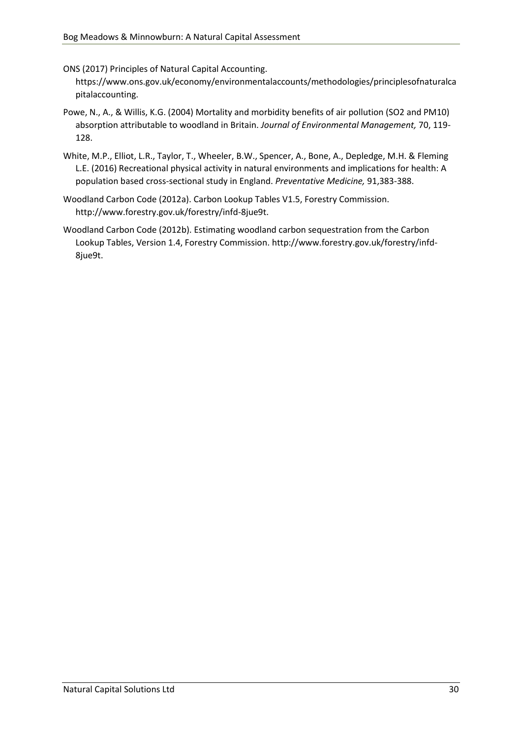ONS (2017) Principles of Natural Capital Accounting.

https://www.ons.gov.uk/economy/environmentalaccounts/methodologies/principlesofnaturalca pitalaccounting.

- Powe, N., A., & Willis, K.G. (2004) Mortality and morbidity benefits of air pollution (SO2 and PM10) absorption attributable to woodland in Britain. *Journal of Environmental Management,* 70, 119- 128.
- White, M.P., Elliot, L.R., Taylor, T., Wheeler, B.W., Spencer, A., Bone, A., Depledge, M.H. & Fleming L.E. (2016) Recreational physical activity in natural environments and implications for health: A population based cross-sectional study in England. *Preventative Medicine,* 91,383-388.
- Woodland Carbon Code (2012a). Carbon Lookup Tables V1.5, Forestry Commission. http://www.forestry.gov.uk/forestry/infd-8jue9t.
- Woodland Carbon Code (2012b). Estimating woodland carbon sequestration from the Carbon Lookup Tables, Version 1.4, Forestry Commission. http://www.forestry.gov.uk/forestry/infd-8jue9t.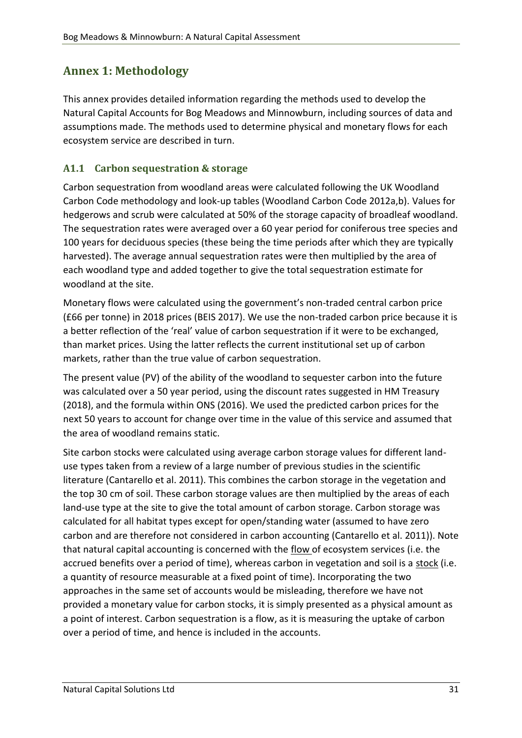# <span id="page-30-0"></span>**Annex 1: Methodology**

This annex provides detailed information regarding the methods used to develop the Natural Capital Accounts for Bog Meadows and Minnowburn, including sources of data and assumptions made. The methods used to determine physical and monetary flows for each ecosystem service are described in turn.

## **A1.1 Carbon sequestration & storage**

Carbon sequestration from woodland areas were calculated following the UK Woodland Carbon Code methodology and look-up tables (Woodland Carbon Code 2012a,b). Values for hedgerows and scrub were calculated at 50% of the storage capacity of broadleaf woodland. The sequestration rates were averaged over a 60 year period for coniferous tree species and 100 years for deciduous species (these being the time periods after which they are typically harvested). The average annual sequestration rates were then multiplied by the area of each woodland type and added together to give the total sequestration estimate for woodland at the site.

Monetary flows were calculated using the government's non-traded central carbon price (£66 per tonne) in 2018 prices (BEIS 2017). We use the non-traded carbon price because it is a better reflection of the 'real' value of carbon sequestration if it were to be exchanged, than market prices. Using the latter reflects the current institutional set up of carbon markets, rather than the true value of carbon sequestration.

The present value (PV) of the ability of the woodland to sequester carbon into the future was calculated over a 50 year period, using the discount rates suggested in HM Treasury (2018), and the formula within ONS (2016). We used the predicted carbon prices for the next 50 years to account for change over time in the value of this service and assumed that the area of woodland remains static.

Site carbon stocks were calculated using average carbon storage values for different landuse types taken from a review of a large number of previous studies in the scientific literature (Cantarello et al. 2011). This combines the carbon storage in the vegetation and the top 30 cm of soil. These carbon storage values are then multiplied by the areas of each land-use type at the site to give the total amount of carbon storage. Carbon storage was calculated for all habitat types except for open/standing water (assumed to have zero carbon and are therefore not considered in carbon accounting (Cantarello et al. 2011)). Note that natural capital accounting is concerned with the flow of ecosystem services (i.e. the accrued benefits over a period of time), whereas carbon in vegetation and soil is a stock (i.e. a quantity of resource measurable at a fixed point of time). Incorporating the two approaches in the same set of accounts would be misleading, therefore we have not provided a monetary value for carbon stocks, it is simply presented as a physical amount as a point of interest. Carbon sequestration is a flow, as it is measuring the uptake of carbon over a period of time, and hence is included in the accounts.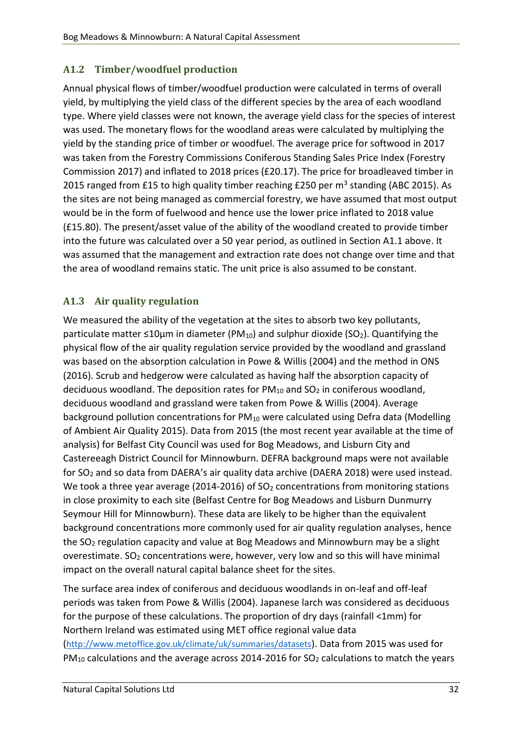## **A1.2 Timber/woodfuel production**

Annual physical flows of timber/woodfuel production were calculated in terms of overall yield, by multiplying the yield class of the different species by the area of each woodland type. Where yield classes were not known, the average yield class for the species of interest was used. The monetary flows for the woodland areas were calculated by multiplying the yield by the standing price of timber or woodfuel. The average price for softwood in 2017 was taken from the Forestry Commissions Coniferous Standing Sales Price Index (Forestry Commission 2017) and inflated to 2018 prices (£20.17). The price for broadleaved timber in 2015 ranged from £15 to high quality timber reaching £250 per m<sup>3</sup> standing (ABC 2015). As the sites are not being managed as commercial forestry, we have assumed that most output would be in the form of fuelwood and hence use the lower price inflated to 2018 value (£15.80). The present/asset value of the ability of the woodland created to provide timber into the future was calculated over a 50 year period, as outlined in Section A1.1 above. It was assumed that the management and extraction rate does not change over time and that the area of woodland remains static. The unit price is also assumed to be constant.

#### **A1.3 Air quality regulation**

We measured the ability of the vegetation at the sites to absorb two key pollutants, particulate matter  $\leq 10 \mu m$  in diameter (PM<sub>10</sub>) and sulphur dioxide (SO<sub>2</sub>). Quantifying the physical flow of the air quality regulation service provided by the woodland and grassland was based on the absorption calculation in Powe & Willis (2004) and the method in ONS (2016). Scrub and hedgerow were calculated as having half the absorption capacity of deciduous woodland. The deposition rates for  $PM_{10}$  and  $SO_2$  in coniferous woodland, deciduous woodland and grassland were taken from Powe & Willis (2004). Average background pollution concentrations for  $PM_{10}$  were calculated using Defra data (Modelling of Ambient Air Quality 2015). Data from 2015 (the most recent year available at the time of analysis) for Belfast City Council was used for Bog Meadows, and Lisburn City and Castereeagh District Council for Minnowburn. DEFRA background maps were not available for SO<sup>2</sup> and so data from DAERA's air quality data archive (DAERA 2018) were used instead. We took a three year average (2014-2016) of  $SO<sub>2</sub>$  concentrations from monitoring stations in close proximity to each site (Belfast Centre for Bog Meadows and Lisburn Dunmurry Seymour Hill for Minnowburn). These data are likely to be higher than the equivalent background concentrations more commonly used for air quality regulation analyses, hence the  $SO<sub>2</sub>$  regulation capacity and value at Bog Meadows and Minnowburn may be a slight overestimate. SO<sub>2</sub> concentrations were, however, very low and so this will have minimal impact on the overall natural capital balance sheet for the sites.

The surface area index of coniferous and deciduous woodlands in on-leaf and off-leaf periods was taken from Powe & Willis (2004). Japanese larch was considered as deciduous for the purpose of these calculations. The proportion of dry days (rainfall <1mm) for Northern Ireland was estimated using MET office regional value data (<http://www.metoffice.gov.uk/climate/uk/summaries/datasets>). Data from 2015 was used for  $PM_{10}$  calculations and the average across 2014-2016 for SO<sub>2</sub> calculations to match the years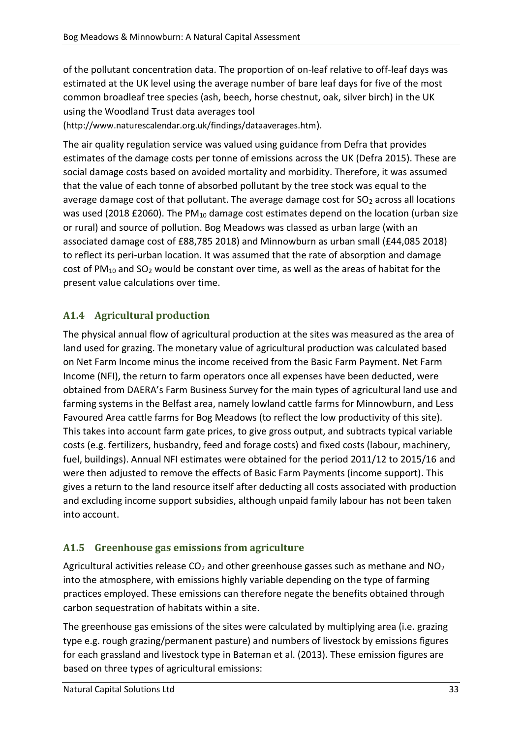of the pollutant concentration data. The proportion of on-leaf relative to off-leaf days was estimated at the UK level using the average number of bare leaf days for five of the most common broadleaf tree species (ash, beech, horse chestnut, oak, silver birch) in the UK using the Woodland Trust data averages tool

(http://www.naturescalendar.org.uk/findings/dataaverages.htm).

The air quality regulation service was valued using guidance from Defra that provides estimates of the damage costs per tonne of emissions across the UK (Defra 2015). These are social damage costs based on avoided mortality and morbidity. Therefore, it was assumed that the value of each tonne of absorbed pollutant by the tree stock was equal to the average damage cost of that pollutant. The average damage cost for  $SO<sub>2</sub>$  across all locations was used (2018 £2060). The PM<sub>10</sub> damage cost estimates depend on the location (urban size or rural) and source of pollution. Bog Meadows was classed as urban large (with an associated damage cost of £88,785 2018) and Minnowburn as urban small (£44,085 2018) to reflect its peri-urban location. It was assumed that the rate of absorption and damage cost of PM<sub>10</sub> and SO<sub>2</sub> would be constant over time, as well as the areas of habitat for the present value calculations over time.

## **A1.4 Agricultural production**

The physical annual flow of agricultural production at the sites was measured as the area of land used for grazing. The monetary value of agricultural production was calculated based on Net Farm Income minus the income received from the Basic Farm Payment. Net Farm Income (NFI), the return to farm operators once all expenses have been deducted, were obtained from DAERA's Farm Business Survey for the main types of agricultural land use and farming systems in the Belfast area, namely lowland cattle farms for Minnowburn, and Less Favoured Area cattle farms for Bog Meadows (to reflect the low productivity of this site). This takes into account farm gate prices, to give gross output, and subtracts typical variable costs (e.g. fertilizers, husbandry, feed and forage costs) and fixed costs (labour, machinery, fuel, buildings). Annual NFI estimates were obtained for the period 2011/12 to 2015/16 and were then adjusted to remove the effects of Basic Farm Payments (income support). This gives a return to the land resource itself after deducting all costs associated with production and excluding income support subsidies, although unpaid family labour has not been taken into account.

## **A1.5 Greenhouse gas emissions from agriculture**

Agricultural activities release  $CO<sub>2</sub>$  and other greenhouse gasses such as methane and NO<sub>2</sub> into the atmosphere, with emissions highly variable depending on the type of farming practices employed. These emissions can therefore negate the benefits obtained through carbon sequestration of habitats within a site.

The greenhouse gas emissions of the sites were calculated by multiplying area (i.e. grazing type e.g. rough grazing/permanent pasture) and numbers of livestock by emissions figures for each grassland and livestock type in Bateman et al. (2013). These emission figures are based on three types of agricultural emissions: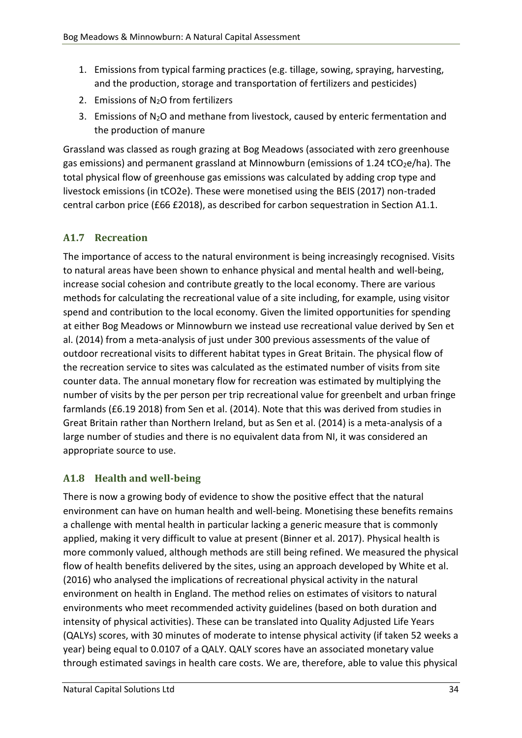- 1. Emissions from typical farming practices (e.g. tillage, sowing, spraying, harvesting, and the production, storage and transportation of fertilizers and pesticides)
- 2. Emissions of N2O from fertilizers
- 3. Emissions of  $N_2O$  and methane from livestock, caused by enteric fermentation and the production of manure

Grassland was classed as rough grazing at Bog Meadows (associated with zero greenhouse gas emissions) and permanent grassland at Minnowburn (emissions of 1.24 tCO<sub>2</sub>e/ha). The total physical flow of greenhouse gas emissions was calculated by adding crop type and livestock emissions (in tCO2e). These were monetised using the BEIS (2017) non-traded central carbon price (£66 £2018), as described for carbon sequestration in Section A1.1.

## **A1.7 Recreation**

The importance of access to the natural environment is being increasingly recognised. Visits to natural areas have been shown to enhance physical and mental health and well-being, increase social cohesion and contribute greatly to the local economy. There are various methods for calculating the recreational value of a site including, for example, using visitor spend and contribution to the local economy. Given the limited opportunities for spending at either Bog Meadows or Minnowburn we instead use recreational value derived by Sen et al. (2014) from a meta-analysis of just under 300 previous assessments of the value of outdoor recreational visits to different habitat types in Great Britain. The physical flow of the recreation service to sites was calculated as the estimated number of visits from site counter data. The annual monetary flow for recreation was estimated by multiplying the number of visits by the per person per trip recreational value for greenbelt and urban fringe farmlands (£6.19 2018) from Sen et al. (2014). Note that this was derived from studies in Great Britain rather than Northern Ireland, but as Sen et al. (2014) is a meta-analysis of a large number of studies and there is no equivalent data from NI, it was considered an appropriate source to use.

#### **A1.8 Health and well-being**

There is now a growing body of evidence to show the positive effect that the natural environment can have on human health and well-being. Monetising these benefits remains a challenge with mental health in particular lacking a generic measure that is commonly applied, making it very difficult to value at present (Binner et al. 2017). Physical health is more commonly valued, although methods are still being refined. We measured the physical flow of health benefits delivered by the sites, using an approach developed by White et al. (2016) who analysed the implications of recreational physical activity in the natural environment on health in England. The method relies on estimates of visitors to natural environments who meet recommended activity guidelines (based on both duration and intensity of physical activities). These can be translated into Quality Adjusted Life Years (QALYs) scores, with 30 minutes of moderate to intense physical activity (if taken 52 weeks a year) being equal to 0.0107 of a QALY. QALY scores have an associated monetary value through estimated savings in health care costs. We are, therefore, able to value this physical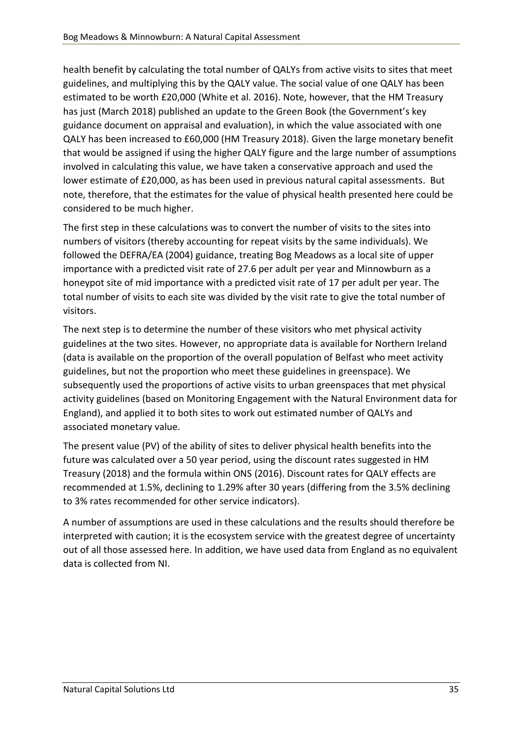health benefit by calculating the total number of QALYs from active visits to sites that meet guidelines, and multiplying this by the QALY value. The social value of one QALY has been estimated to be worth £20,000 (White et al. 2016). Note, however, that the HM Treasury has just (March 2018) published an update to the Green Book (the Government's key guidance document on appraisal and evaluation), in which the value associated with one QALY has been increased to £60,000 (HM Treasury 2018). Given the large monetary benefit that would be assigned if using the higher QALY figure and the large number of assumptions involved in calculating this value, we have taken a conservative approach and used the lower estimate of £20,000, as has been used in previous natural capital assessments. But note, therefore, that the estimates for the value of physical health presented here could be considered to be much higher.

The first step in these calculations was to convert the number of visits to the sites into numbers of visitors (thereby accounting for repeat visits by the same individuals). We followed the DEFRA/EA (2004) guidance, treating Bog Meadows as a local site of upper importance with a predicted visit rate of 27.6 per adult per year and Minnowburn as a honeypot site of mid importance with a predicted visit rate of 17 per adult per year. The total number of visits to each site was divided by the visit rate to give the total number of visitors.

The next step is to determine the number of these visitors who met physical activity guidelines at the two sites. However, no appropriate data is available for Northern Ireland (data is available on the proportion of the overall population of Belfast who meet activity guidelines, but not the proportion who meet these guidelines in greenspace). We subsequently used the proportions of active visits to urban greenspaces that met physical activity guidelines (based on Monitoring Engagement with the Natural Environment data for England), and applied it to both sites to work out estimated number of QALYs and associated monetary value.

The present value (PV) of the ability of sites to deliver physical health benefits into the future was calculated over a 50 year period, using the discount rates suggested in HM Treasury (2018) and the formula within ONS (2016). Discount rates for QALY effects are recommended at 1.5%, declining to 1.29% after 30 years (differing from the 3.5% declining to 3% rates recommended for other service indicators).

A number of assumptions are used in these calculations and the results should therefore be interpreted with caution; it is the ecosystem service with the greatest degree of uncertainty out of all those assessed here. In addition, we have used data from England as no equivalent data is collected from NI.